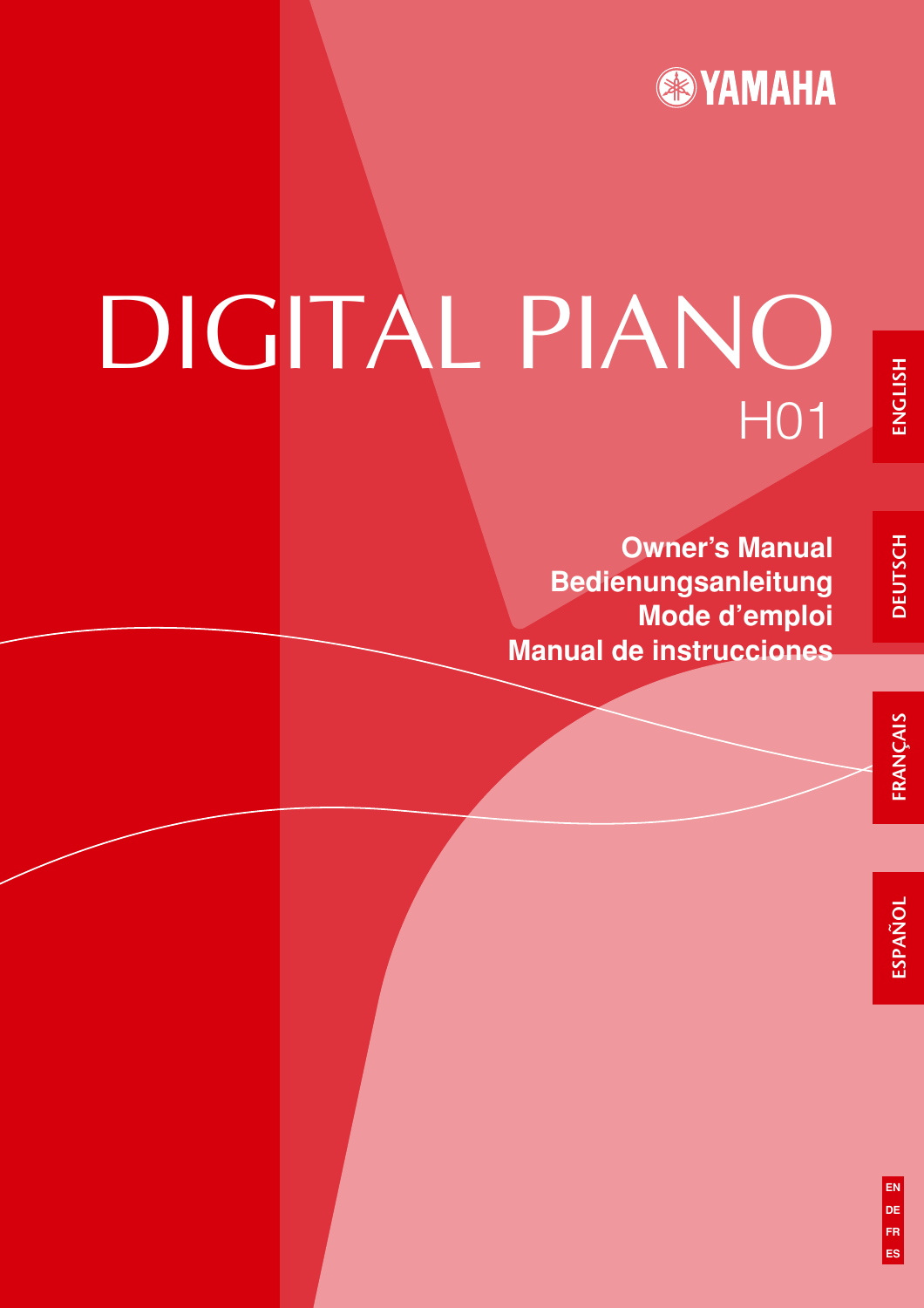## **& YAMAHA**

# H01 DIGITAL PIANO

**Owner's Manual Bedienungsanleitung Mode d'emploi Manual de instrucciones**

**ENGLISH**

ENGLISH

**JA ES**

**FR DE EN**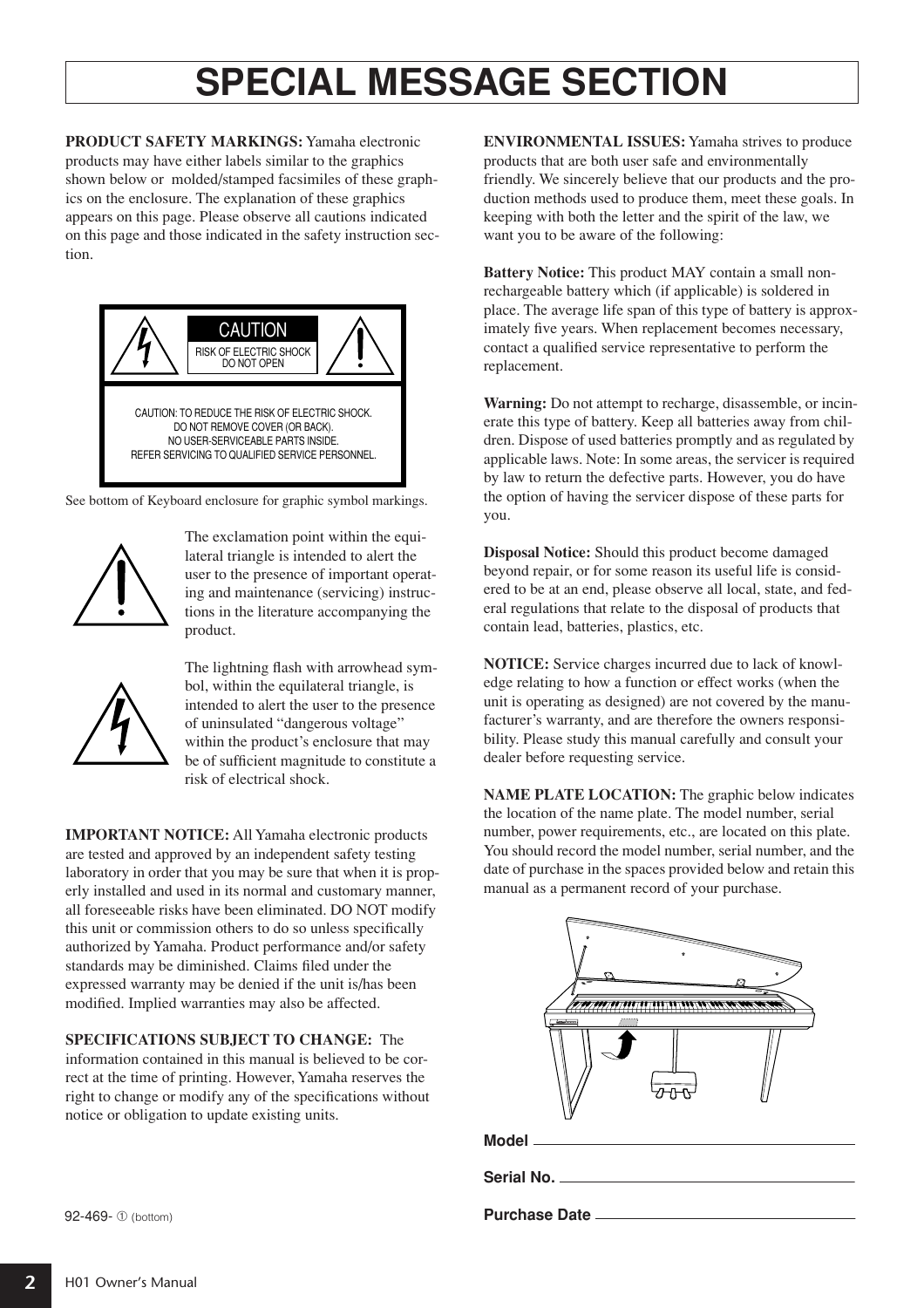## **SPECIAL MESSAGE SECTION**

**PRODUCT SAFETY MARKINGS:** Yamaha electronic products may have either labels similar to the graphics shown below or molded/stamped facsimiles of these graphics on the enclosure. The explanation of these graphics appears on this page. Please observe all cautions indicated on this page and those indicated in the safety instruction section.



See bottom of Keyboard enclosure for graphic symbol markings.



The exclamation point within the equilateral triangle is intended to alert the user to the presence of important operating and maintenance (servicing) instructions in the literature accompanying the product.



The lightning flash with arrowhead symbol, within the equilateral triangle, is intended to alert the user to the presence of uninsulated "dangerous voltage" within the product's enclosure that may be of sufficient magnitude to constitute a risk of electrical shock.

**IMPORTANT NOTICE:** All Yamaha electronic products are tested and approved by an independent safety testing laboratory in order that you may be sure that when it is properly installed and used in its normal and customary manner, all foreseeable risks have been eliminated. DO NOT modify this unit or commission others to do so unless specifically authorized by Yamaha. Product performance and/or safety standards may be diminished. Claims filed under the expressed warranty may be denied if the unit is/has been modified. Implied warranties may also be affected.

**SPECIFICATIONS SUBJECT TO CHANGE:** The information contained in this manual is believed to be correct at the time of printing. However, Yamaha reserves the right to change or modify any of the specifications without notice or obligation to update existing units.

**ENVIRONMENTAL ISSUES:** Yamaha strives to produce products that are both user safe and environmentally friendly. We sincerely believe that our products and the production methods used to produce them, meet these goals. In keeping with both the letter and the spirit of the law, we want you to be aware of the following:

**Battery Notice:** This product MAY contain a small nonrechargeable battery which (if applicable) is soldered in place. The average life span of this type of battery is approximately five years. When replacement becomes necessary, contact a qualified service representative to perform the replacement.

**Warning:** Do not attempt to recharge, disassemble, or incinerate this type of battery. Keep all batteries away from children. Dispose of used batteries promptly and as regulated by applicable laws. Note: In some areas, the servicer is required by law to return the defective parts. However, you do have the option of having the servicer dispose of these parts for you.

**Disposal Notice:** Should this product become damaged beyond repair, or for some reason its useful life is considered to be at an end, please observe all local, state, and federal regulations that relate to the disposal of products that contain lead, batteries, plastics, etc.

**NOTICE:** Service charges incurred due to lack of knowledge relating to how a function or effect works (when the unit is operating as designed) are not covered by the manufacturer's warranty, and are therefore the owners responsibility. Please study this manual carefully and consult your dealer before requesting service.

**NAME PLATE LOCATION:** The graphic below indicates the location of the name plate. The model number, serial number, power requirements, etc., are located on this plate. You should record the model number, serial number, and the date of purchase in the spaces provided below and retain this manual as a permanent record of your purchase.



92-469- ➀ (bottom)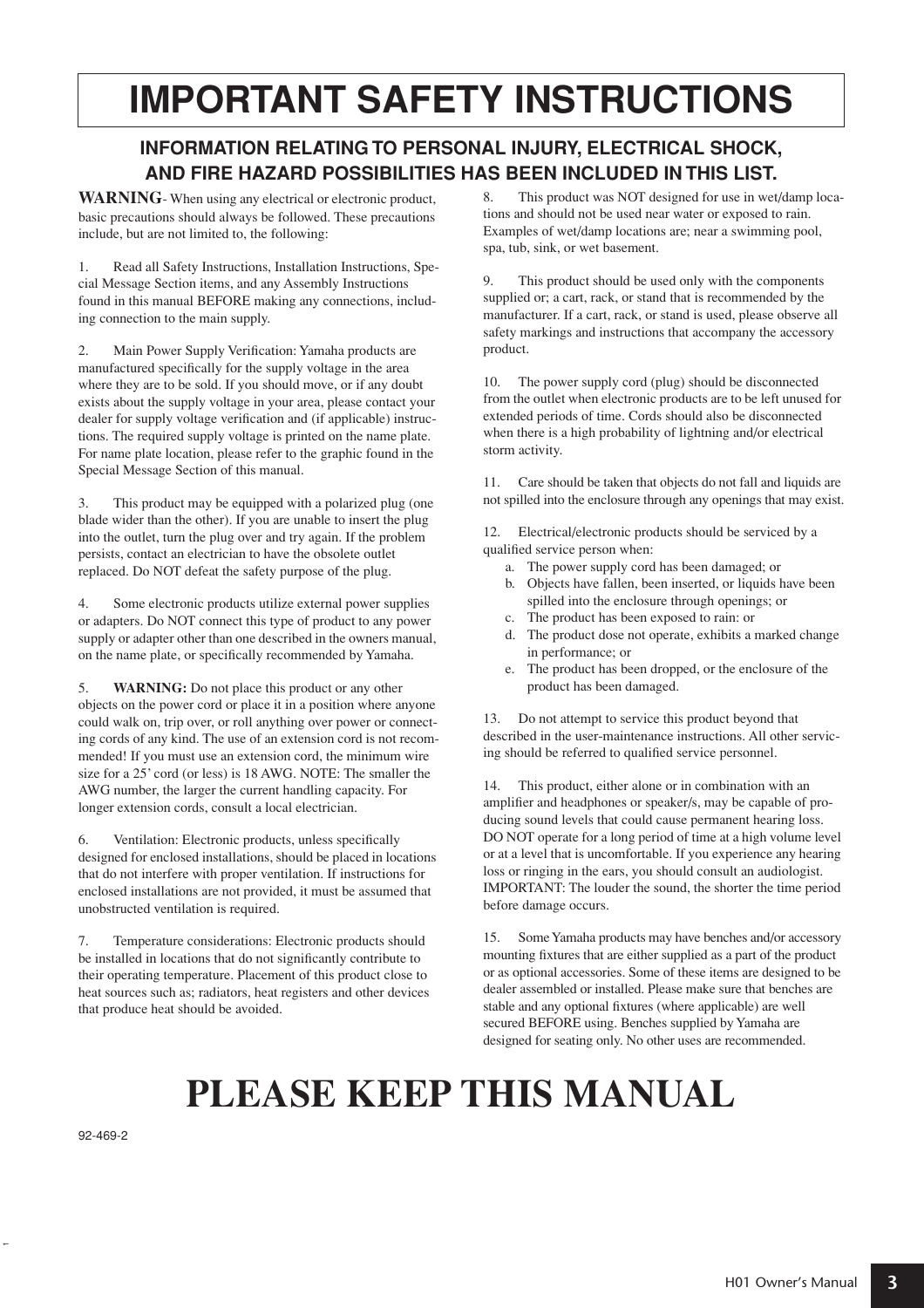## **IMPORTANT SAFETY INSTRUCTIONS**

## **INFORMATION RELATING TO PERSONAL INJURY, ELECTRICAL SHOCK, AND FIRE HAZARD POSSIBILITIES HAS BEEN INCLUDED IN THIS LIST.**

**WARNING**- When using any electrical or electronic product, basic precautions should always be followed. These precautions include, but are not limited to, the following:

1. Read all Safety Instructions, Installation Instructions, Special Message Section items, and any Assembly Instructions found in this manual BEFORE making any connections, including connection to the main supply.

2. Main Power Supply Verification: Yamaha products are manufactured specifically for the supply voltage in the area where they are to be sold. If you should move, or if any doubt exists about the supply voltage in your area, please contact your dealer for supply voltage verification and (if applicable) instructions. The required supply voltage is printed on the name plate. For name plate location, please refer to the graphic found in the Special Message Section of this manual.

3. This product may be equipped with a polarized plug (one blade wider than the other). If you are unable to insert the plug into the outlet, turn the plug over and try again. If the problem persists, contact an electrician to have the obsolete outlet replaced. Do NOT defeat the safety purpose of the plug.

4. Some electronic products utilize external power supplies or adapters. Do NOT connect this type of product to any power supply or adapter other than one described in the owners manual, on the name plate, or specifically recommended by Yamaha.

5. **WARNING:** Do not place this product or any other objects on the power cord or place it in a position where anyone could walk on, trip over, or roll anything over power or connecting cords of any kind. The use of an extension cord is not recommended! If you must use an extension cord, the minimum wire size for a 25' cord (or less) is 18 AWG. NOTE: The smaller the AWG number, the larger the current handling capacity. For longer extension cords, consult a local electrician.

6. Ventilation: Electronic products, unless specifically designed for enclosed installations, should be placed in locations that do not interfere with proper ventilation. If instructions for enclosed installations are not provided, it must be assumed that unobstructed ventilation is required.

7. Temperature considerations: Electronic products should be installed in locations that do not significantly contribute to their operating temperature. Placement of this product close to heat sources such as; radiators, heat registers and other devices that produce heat should be avoided.

This product was NOT designed for use in wet/damp locations and should not be used near water or exposed to rain. Examples of wet/damp locations are; near a swimming pool, spa, tub, sink, or wet basement.

9. This product should be used only with the components supplied or; a cart, rack, or stand that is recommended by the manufacturer. If a cart, rack, or stand is used, please observe all safety markings and instructions that accompany the accessory product.

10. The power supply cord (plug) should be disconnected from the outlet when electronic products are to be left unused for extended periods of time. Cords should also be disconnected when there is a high probability of lightning and/or electrical storm activity.

11. Care should be taken that objects do not fall and liquids are not spilled into the enclosure through any openings that may exist.

12. Electrical/electronic products should be serviced by a qualified service person when:

- a. The power supply cord has been damaged; or
- b. Objects have fallen, been inserted, or liquids have been spilled into the enclosure through openings; or
- c. The product has been exposed to rain: or
- d. The product dose not operate, exhibits a marked change in performance; or
- e. The product has been dropped, or the enclosure of the product has been damaged.

13. Do not attempt to service this product beyond that described in the user-maintenance instructions. All other servicing should be referred to qualified service personnel.

14. This product, either alone or in combination with an amplifier and headphones or speaker/s, may be capable of producing sound levels that could cause permanent hearing loss. DO NOT operate for a long period of time at a high volume level or at a level that is uncomfortable. If you experience any hearing loss or ringing in the ears, you should consult an audiologist. IMPORTANT: The louder the sound, the shorter the time period before damage occurs.

15. Some Yamaha products may have benches and/or accessory mounting fixtures that are either supplied as a part of the product or as optional accessories. Some of these items are designed to be dealer assembled or installed. Please make sure that benches are stable and any optional fixtures (where applicable) are well secured BEFORE using. Benches supplied by Yamaha are designed for seating only. No other uses are recommended.

## **PLEASE KEEP THIS MANUAL**

92-469-2

 $\bar{\ }$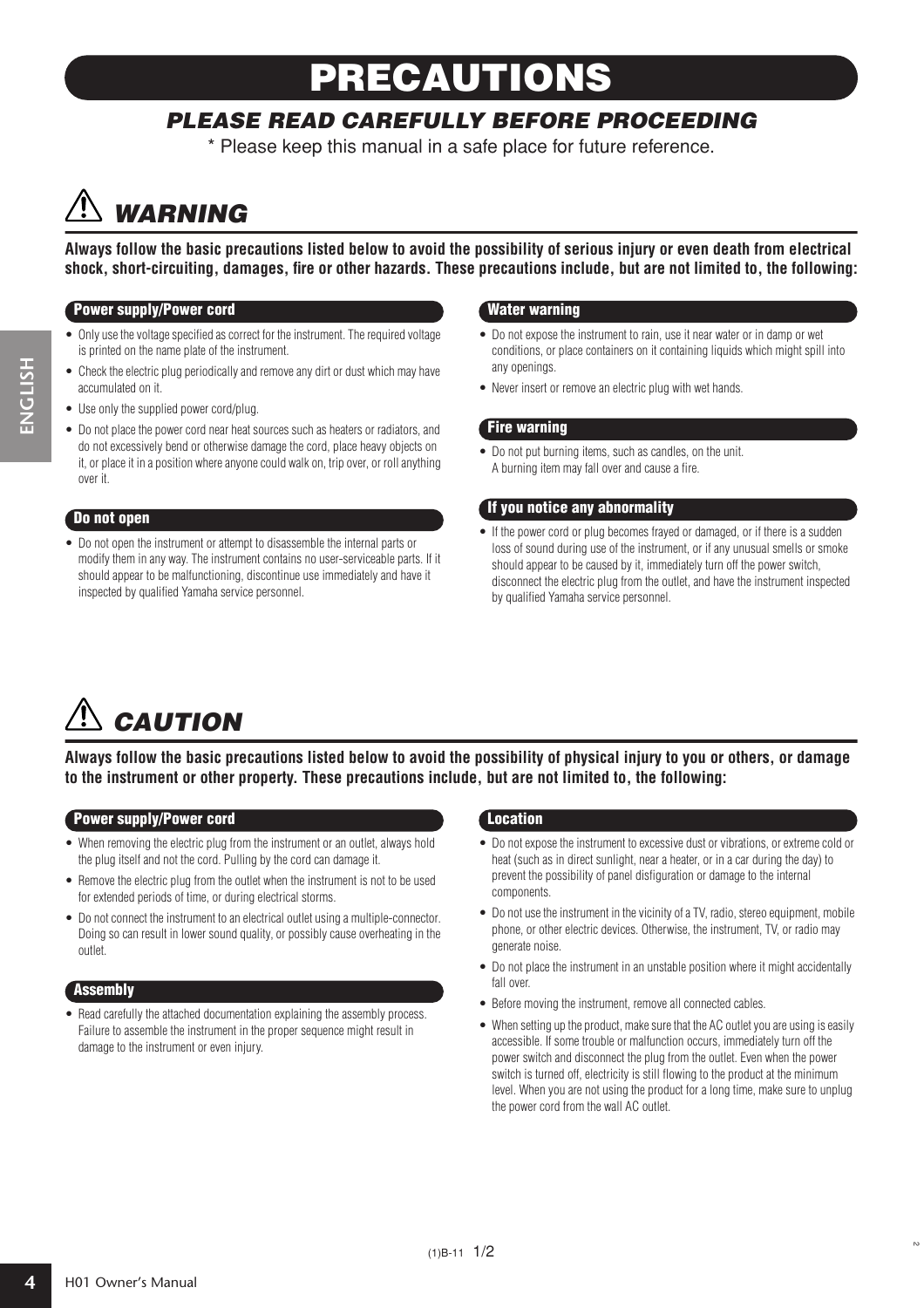## **PRECAUTIONS**

## *PLEASE READ CAREFULLY BEFORE PROCEEDING*

\* Please keep this manual in a safe place for future reference.

## *WARNING*

**Always follow the basic precautions listed below to avoid the possibility of serious injury or even death from electrical shock, short-circuiting, damages, fire or other hazards. These precautions include, but are not limited to, the following:**

### **Power supply/Power cord**

- Only use the voltage specified as correct for the instrument. The required voltage is printed on the name plate of the instrument.
- Check the electric plug periodically and remove any dirt or dust which may have accumulated on it.
- Use only the supplied power cord/plug.
- Do not place the power cord near heat sources such as heaters or radiators, and do not excessively bend or otherwise damage the cord, place heavy objects on it, or place it in a position where anyone could walk on, trip over, or roll anything over it.

### **Do not open**

• Do not open the instrument or attempt to disassemble the internal parts or modify them in any way. The instrument contains no user-serviceable parts. If it should appear to be malfunctioning, discontinue use immediately and have it inspected by qualified Yamaha service personnel.

### **Water warning**

- Do not expose the instrument to rain, use it near water or in damp or wet conditions, or place containers on it containing liquids which might spill into any openings.
- Never insert or remove an electric plug with wet hands.

### **Fire warning**

• Do not put burning items, such as candles, on the unit. A burning item may fall over and cause a fire.

### **If you notice any abnormality**

• If the power cord or plug becomes frayed or damaged, or if there is a sudden loss of sound during use of the instrument, or if any unusual smells or smoke should appear to be caused by it, immediately turn off the power switch, disconnect the electric plug from the outlet, and have the instrument inspected by qualified Yamaha service personnel.

## *CAUTION*

**Always follow the basic precautions listed below to avoid the possibility of physical injury to you or others, or damage to the instrument or other property. These precautions include, but are not limited to, the following:**

### **Power supply/Power cord**

- When removing the electric plug from the instrument or an outlet, always hold the plug itself and not the cord. Pulling by the cord can damage it.
- Remove the electric plug from the outlet when the instrument is not to be used for extended periods of time, or during electrical storms.
- Do not connect the instrument to an electrical outlet using a multiple-connector. Doing so can result in lower sound quality, or possibly cause overheating in the outlet.

### **Assembly**

• Read carefully the attached documentation explaining the assembly process. Failure to assemble the instrument in the proper sequence might result in damage to the instrument or even injury.

### **Location**

- Do not expose the instrument to excessive dust or vibrations, or extreme cold or heat (such as in direct sunlight, near a heater, or in a car during the day) to prevent the possibility of panel disfiguration or damage to the internal components.
- Do not use the instrument in the vicinity of a TV, radio, stereo equipment, mobile phone, or other electric devices. Otherwise, the instrument, TV, or radio may generate noise.
- Do not place the instrument in an unstable position where it might accidentally fall over
- Before moving the instrument, remove all connected cables.
- When setting up the product, make sure that the AC outlet you are using is easily accessible. If some trouble or malfunction occurs, immediately turn off the power switch and disconnect the plug from the outlet. Even when the power switch is turned off, electricity is still flowing to the product at the minimum level. When you are not using the product for a long time, make sure to unplug the power cord from the wall AC outlet.

**4**

**ENGLISH**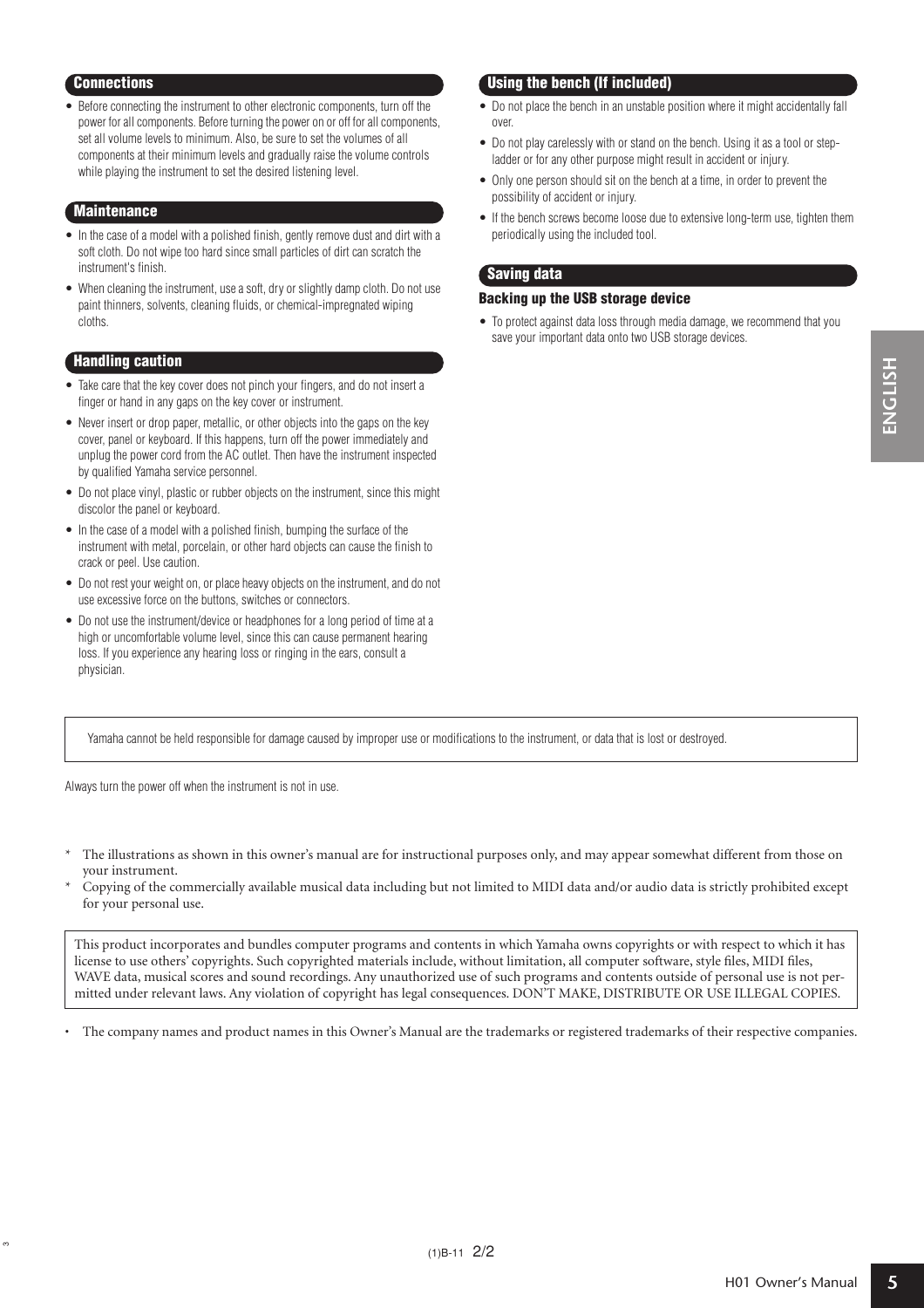### **Connections**

• Before connecting the instrument to other electronic components, turn off the power for all components. Before turning the power on or off for all components, set all volume levels to minimum. Also, be sure to set the volumes of all components at their minimum levels and gradually raise the volume controls while playing the instrument to set the desired listening level.

### **Maintenance**

- In the case of a model with a polished finish, gently remove dust and dirt with a soft cloth. Do not wipe too hard since small particles of dirt can scratch the instrument's finish.
- When cleaning the instrument, use a soft, dry or slightly damp cloth. Do not use paint thinners, solvents, cleaning fluids, or chemical-impregnated wiping cloths.

#### **Handling caution**

- Take care that the key cover does not pinch your fingers, and do not insert a finger or hand in any gaps on the key cover or instrument.
- Never insert or drop paper, metallic, or other objects into the gaps on the key cover, panel or keyboard. If this happens, turn off the power immediately and unplug the power cord from the AC outlet. Then have the instrument inspected by qualified Yamaha service personnel.
- Do not place vinyl, plastic or rubber objects on the instrument, since this might discolor the panel or keyboard.
- In the case of a model with a polished finish, bumping the surface of the instrument with metal, porcelain, or other hard objects can cause the finish to crack or peel. Use caution.
- Do not rest your weight on, or place heavy objects on the instrument, and do not use excessive force on the buttons, switches or connectors.
- Do not use the instrument/device or headphones for a long period of time at a high or uncomfortable volume level, since this can cause permanent hearing loss. If you experience any hearing loss or ringing in the ears, consult a physician.

### **Using the bench (If included)**

- Do not place the bench in an unstable position where it might accidentally fall over.
- Do not play carelessly with or stand on the bench. Using it as a tool or stepladder or for any other purpose might result in accident or injury.
- Only one person should sit on the bench at a time, in order to prevent the possibility of accident or injury.
- If the bench screws become loose due to extensive long-term use, tighten them periodically using the included tool.

### **Saving data**

#### **Backing up the USB storage device**

• To protect against data loss through media damage, we recommend that you save your important data onto two USB storage devices.

Yamaha cannot be held responsible for damage caused by improper use or modifications to the instrument, or data that is lost or destroyed.

Always turn the power off when the instrument is not in use.

- The illustrations as shown in this owner's manual are for instructional purposes only, and may appear somewhat different from those on your instrument.
- \* Copying of the commercially available musical data including but not limited to MIDI data and/or audio data is strictly prohibited except for your personal use.

This product incorporates and bundles computer programs and contents in which Yamaha owns copyrights or with respect to which it has license to use others' copyrights. Such copyrighted materials include, without limitation, all computer software, style files, MIDI files, WAVE data, musical scores and sound recordings. Any unauthorized use of such programs and contents outside of personal use is not permitted under relevant laws. Any violation of copyright has legal consequences. DON'T MAKE, DISTRIBUTE OR USE ILLEGAL COPIES.

• The company names and product names in this Owner's Manual are the trademarks or registered trademarks of their respective companies.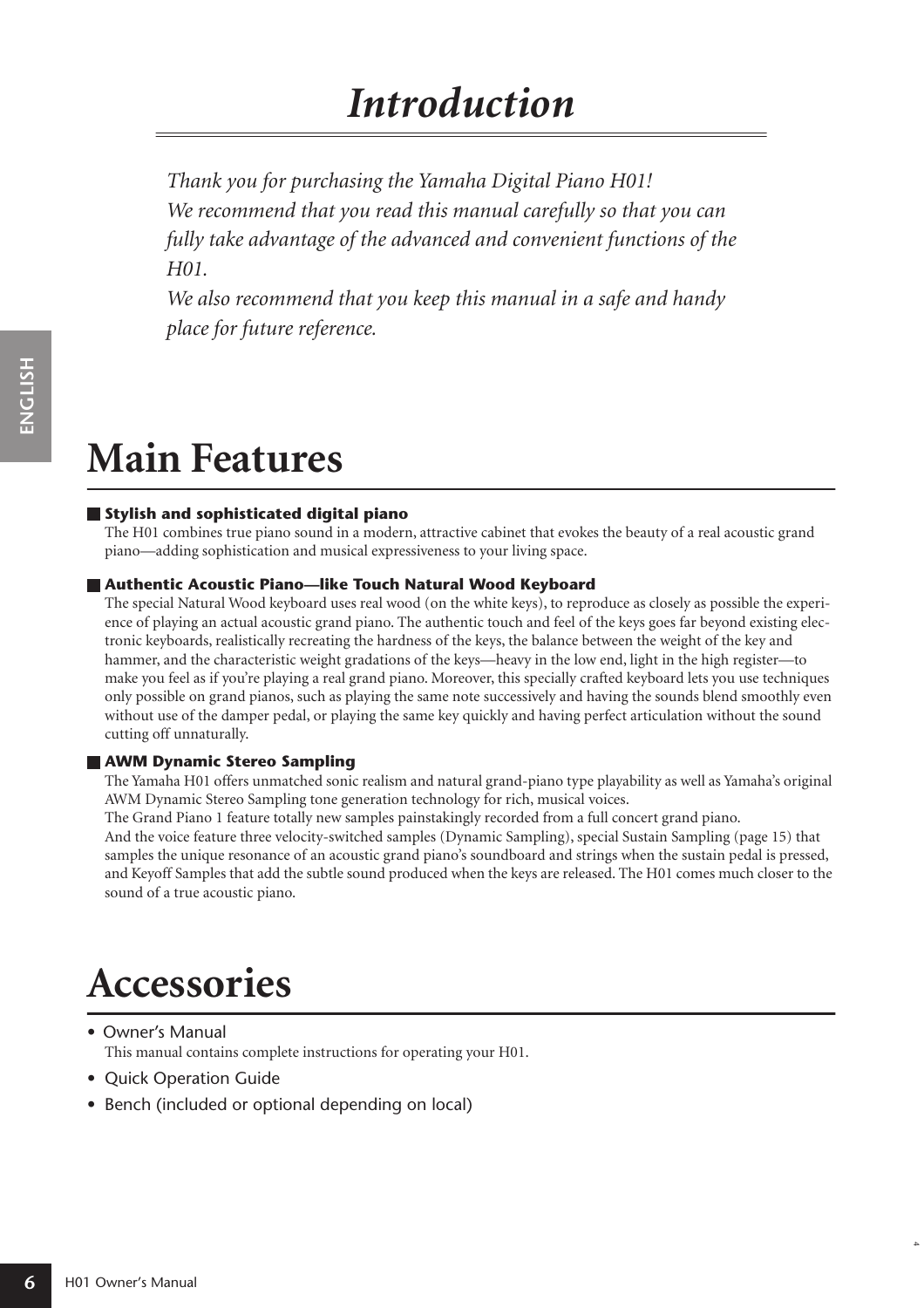<span id="page-5-0"></span>*Thank you for purchasing the Yamaha Digital Piano H01! We recommend that you read this manual carefully so that you can fully take advantage of the advanced and convenient functions of the H01.*

*We also recommend that you keep this manual in a safe and handy place for future reference.*

## <span id="page-5-1"></span>**Main Features**

### **Stylish and sophisticated digital piano**

The H01 combines true piano sound in a modern, attractive cabinet that evokes the beauty of a real acoustic grand piano—adding sophistication and musical expressiveness to your living space.

### **Authentic Acoustic Piano—like Touch Natural Wood Keyboard**

The special Natural Wood keyboard uses real wood (on the white keys), to reproduce as closely as possible the experience of playing an actual acoustic grand piano. The authentic touch and feel of the keys goes far beyond existing electronic keyboards, realistically recreating the hardness of the keys, the balance between the weight of the key and hammer, and the characteristic weight gradations of the keys—heavy in the low end, light in the high register—to make you feel as if you're playing a real grand piano. Moreover, this specially crafted keyboard lets you use techniques only possible on grand pianos, such as playing the same note successively and having the sounds blend smoothly even without use of the damper pedal, or playing the same key quickly and having perfect articulation without the sound cutting off unnaturally.

### **AWM Dynamic Stereo Sampling**

The Yamaha H01 offers unmatched sonic realism and natural grand-piano type playability as well as Yamaha's original AWM Dynamic Stereo Sampling tone generation technology for rich, musical voices.

The Grand Piano 1 feature totally new samples painstakingly recorded from a full concert grand piano. And the voice feature three velocity-switched samples (Dynamic Sampling), special Sustain Sampling [\(page 15](#page-14-0)) that samples the unique resonance of an acoustic grand piano's soundboard and strings when the sustain pedal is pressed, and Keyoff Samples that add the subtle sound produced when the keys are released. The H01 comes much closer to the sound of a true acoustic piano.

4

## <span id="page-5-2"></span>**Accessories**

- Owner's Manual This manual contains complete instructions for operating your H01.
- Quick Operation Guide
- Bench (included or optional depending on local)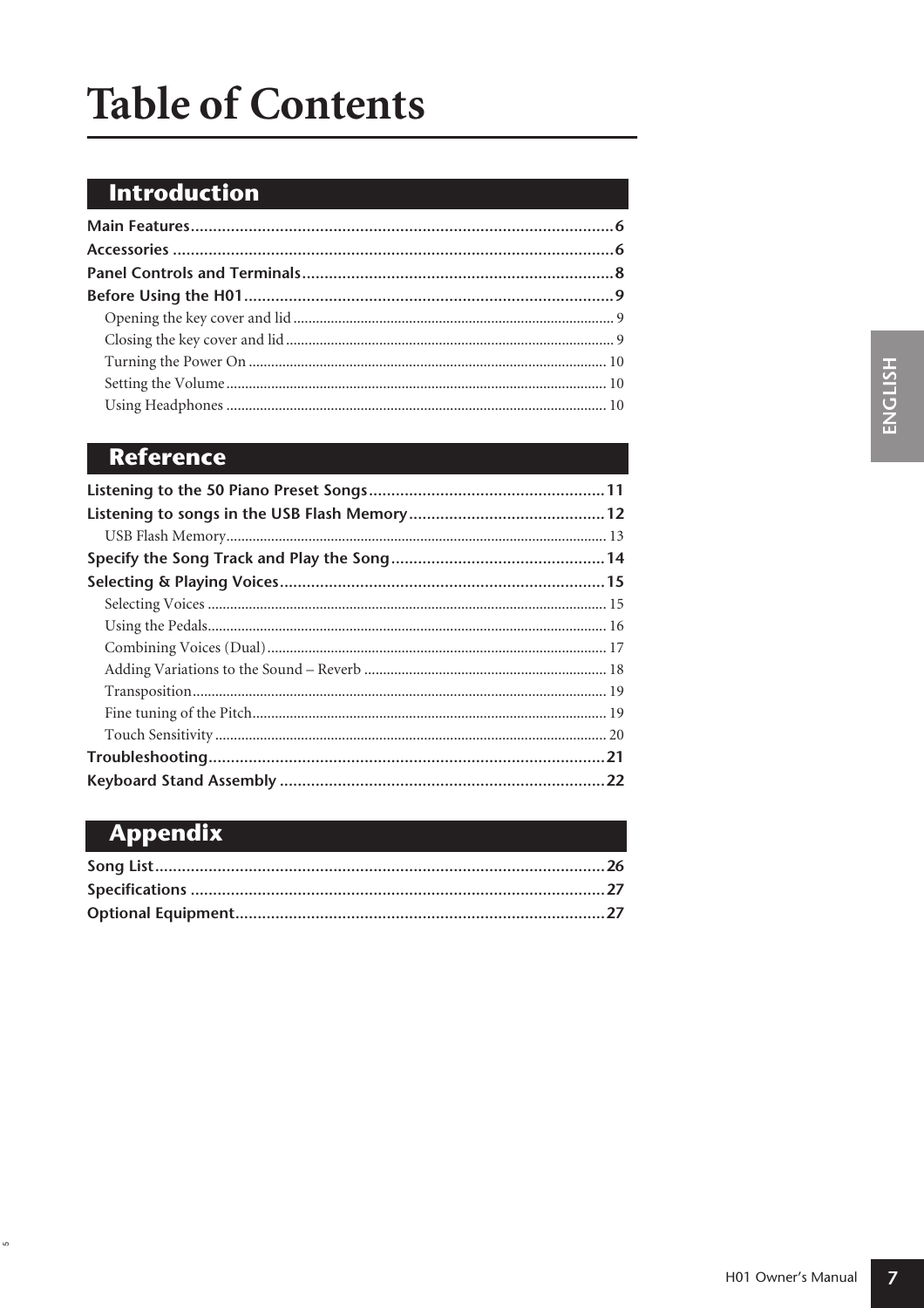## **Table of Contents**

## **Introduction**

## **Reference**

## Appendix

c,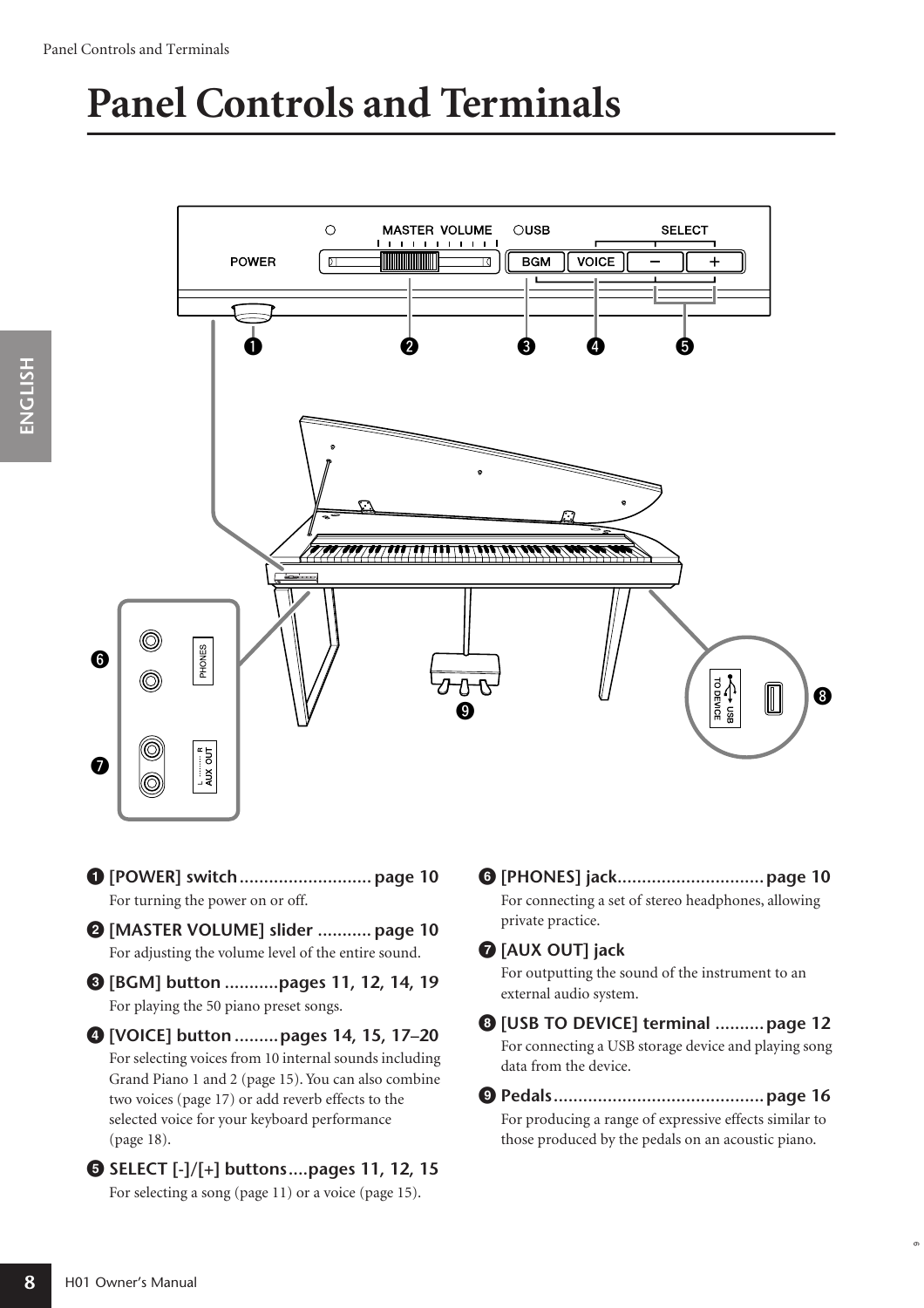## <span id="page-7-0"></span>**Panel Controls and Terminals**



- **1 [POWER] switch........................... [page 10](#page-9-0)** For turning the power on or off.
- **2 [MASTER VOLUME] slider ........... [page 10](#page-9-1)** For adjusting the volume level of the entire sound.
- **3 [BGM] button ...........pages [11,](#page-10-2) [12,](#page-11-1) [14,](#page-13-1) [19](#page-18-2)** For playing the 50 piano preset songs.
- **4 [VOICE] button .........pages [14,](#page-13-1) [15,](#page-14-3) [17–](#page-16-1)[20](#page-19-1)** For selecting voices from 10 internal sounds including Grand Piano 1 and 2 ([page 15](#page-14-0)). You can also combine two voices [\(page 17\)](#page-16-1) or add reverb effects to the selected voice for your keyboard performance ([page 18](#page-17-1)).
- **5 SELECT [-]/[+] buttons....pages [11,](#page-10-2) [12,](#page-11-1) [15](#page-14-0)** For selecting a song [\(page 11\)](#page-10-2) or a voice ([page 15](#page-14-0)).

**6 [PHONES] jack..............................[page 10](#page-9-2)** For connecting a set of stereo headphones, allowing private practice.

## **7 [AUX OUT] jack**

For outputting the sound of the instrument to an external audio system.

- **8 [USB TO DEVICE] terminal ..........[page 12](#page-11-1)** For connecting a USB storage device and playing song data from the device.
- **9 Pedals...........................................[page 16](#page-15-1)** For producing a range of expressive effects similar to those produced by the pedals on an acoustic piano.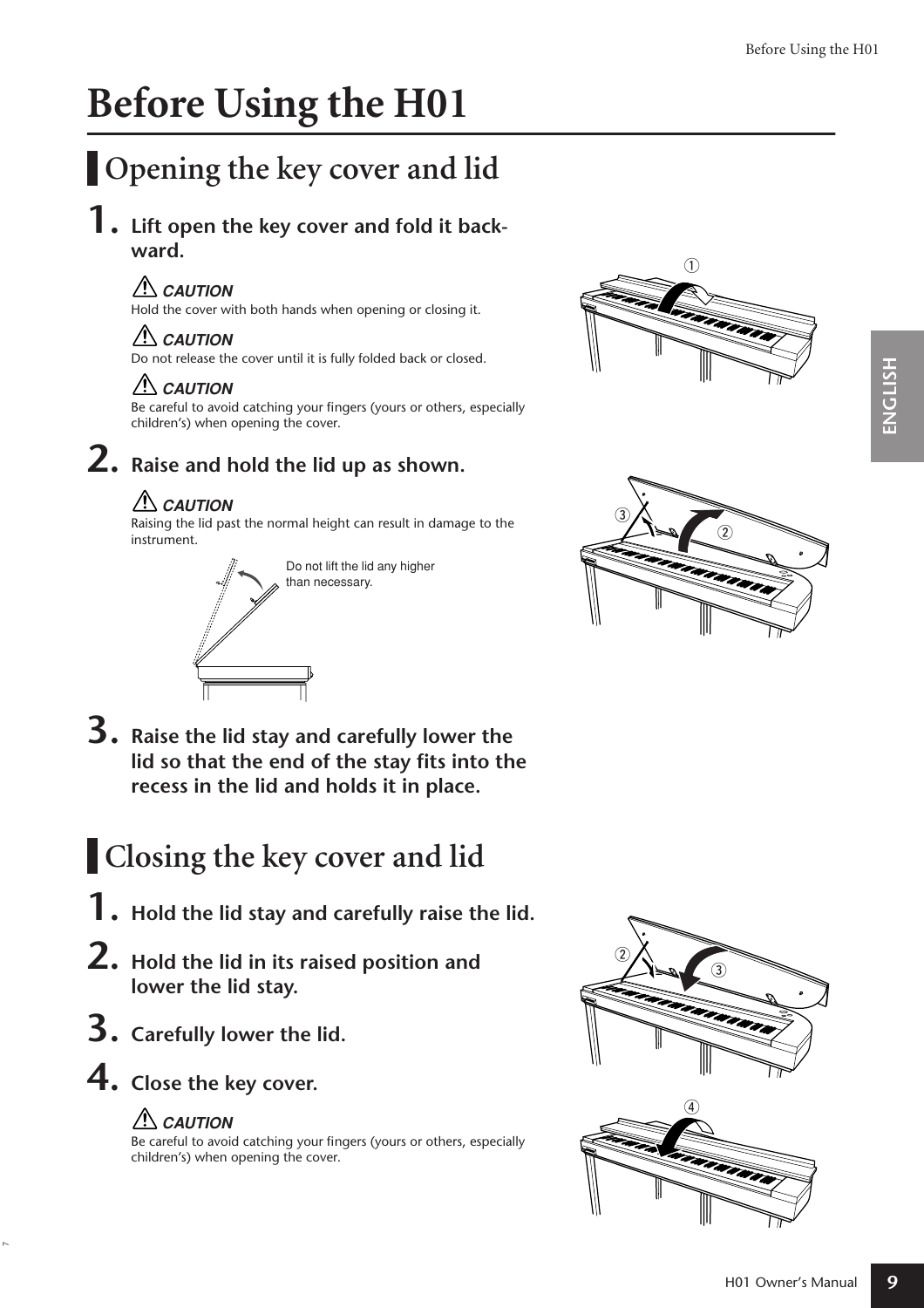## <span id="page-8-0"></span>**Before Using the H01**

## <span id="page-8-1"></span>**Opening the key cover and lid**

## **1. Lift open the key cover and fold it backward.**

## *CAUTION*

Hold the cover with both hands when opening or closing it.

## $\sqrt{2}$ *CAUTION*

Do not release the cover until it is fully folded back or closed.

## *CAUTION*

Be careful to avoid catching your fingers (yours or others, especially children's) when opening the cover.

## **2. Raise and hold the lid up as shown.**

## *CAUTION*

Raising the lid past the normal height can result in damage to the instrument.







**3. Raise the lid stay and carefully lower the lid so that the end of the stay fits into the recess in the lid and holds it in place.**

## <span id="page-8-2"></span>**Closing the key cover and lid**

- **1. Hold the lid stay and carefully raise the lid.**
- **2. Hold the lid in its raised position and lower the lid stay.**
- **3. Carefully lower the lid.**
- **4. Close the key cover.**

## *CAUTION*

 $\overline{\phantom{0}}$ 

Be careful to avoid catching your fingers (yours or others, especially children's) when opening the cover.

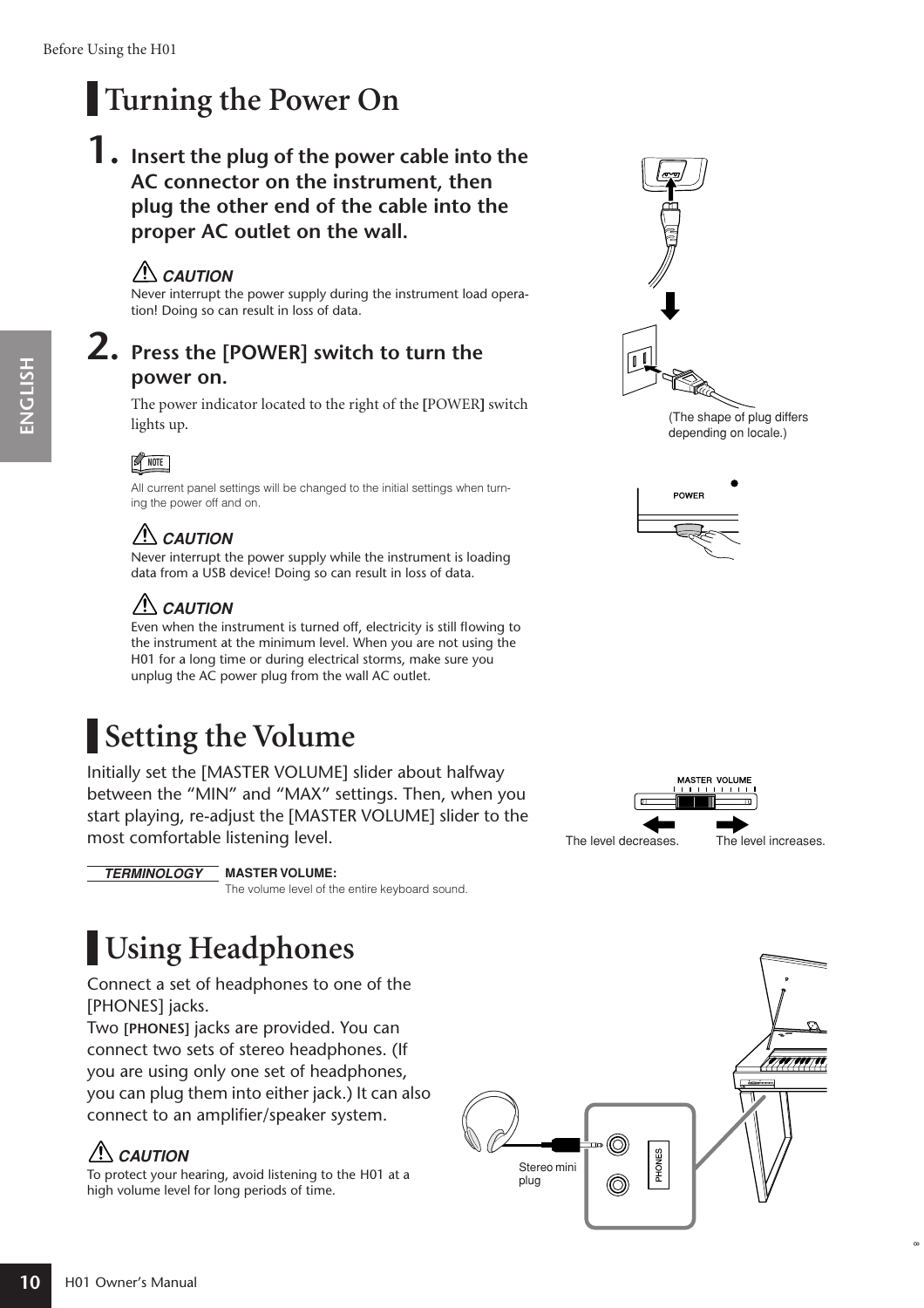## <span id="page-9-3"></span><span id="page-9-0"></span>**Turning the Power On**

## **1. Insert the plug of the power cable into the AC connector on the instrument, then plug the other end of the cable into the proper AC outlet on the wall.**

## *CAUTION*

Never interrupt the power supply during the instrument load operation! Doing so can result in loss of data.

## **2. Press the [POWER] switch to turn the power on.**

The power indicator located to the right of the **[**POWER**]** switch lights up.



**ENGLISH**

All current panel settings will be changed to the initial settings when turning the power off and on.

## $\sqrt{!}$  *CAUTION*

Never interrupt the power supply while the instrument is loading data from a USB device! Doing so can result in loss of data.

## *CAUTION*

Even when the instrument is turned off, electricity is still flowing to the instrument at the minimum level. When you are not using the H01 for a long time or during electrical storms, make sure you unplug the AC power plug from the wall AC outlet.

## <span id="page-9-1"></span>**Setting the Volume**

Initially set the [MASTER VOLUME] slider about halfway between the "MIN" and "MAX" settings. Then, when you start playing, re-adjust the [MASTER VOLUME] slider to the most comfortable listening level.



## *TERMINOLOGY* **MASTER VOLUME:**

The volume level of the entire keyboard sound.

## <span id="page-9-4"></span><span id="page-9-2"></span>**Using Headphones**

Connect a set of headphones to one of the [PHONES] jacks.

Two **[PHONES]** jacks are provided. You can connect two sets of stereo headphones. (If you are using only one set of headphones, you can plug them into either jack.) It can also connect to an amplifier/speaker system.

## *CAUTION*

To protect your hearing, avoid listening to the H01 at a high volume level for long periods of time.





(The shape of plug differs depending on locale.)

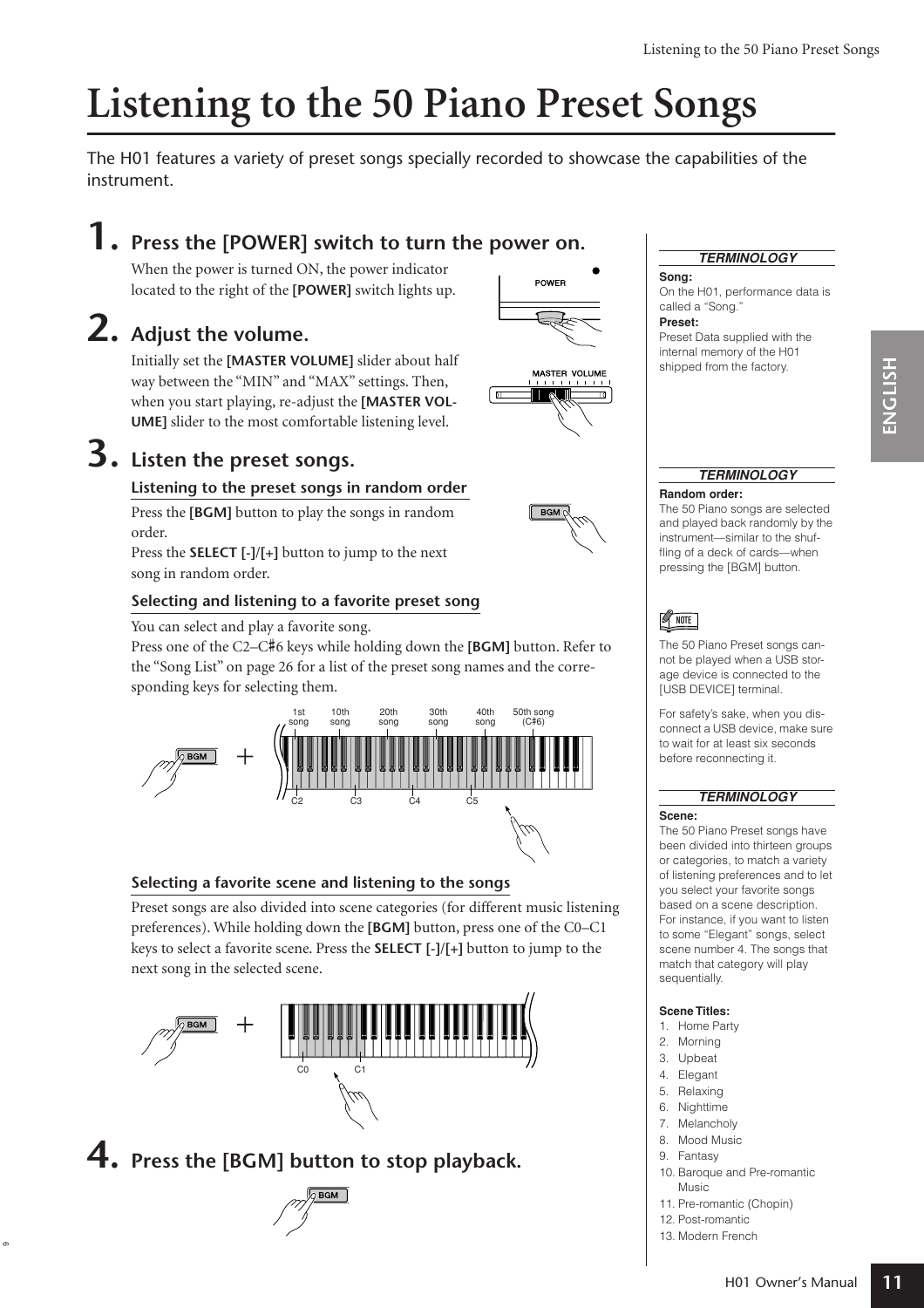## <span id="page-10-2"></span><span id="page-10-1"></span><span id="page-10-0"></span>**Listening to the 50 Piano Preset Songs**

The H01 features a variety of preset songs specially recorded to showcase the capabilities of the instrument.

## **1. Press the [POWER] switch to turn the power on.**

When the power is turned ON, the power indicator located to the right of the **[POWER]** switch lights up.

## **2. Adjust the volume.**

Initially set the **[MASTER VOLUME]** slider about half way between the "MIN" and "MAX" settings. Then, when you start playing, re-adjust the **[MASTER VOL-UME]** slider to the most comfortable listening level.

## **3. Listen the preset songs.**

## **Listening to the preset songs in random order**

Press the **[BGM]** button to play the songs in random order.

Press the **SELECT [-]**/**[+]** button to jump to the next song in random order.

### **Selecting and listening to a favorite preset song**

You can select and play a favorite song.

Press one of the C2–C#6 keys while holding down the **[BGM]** button. Refer to the "Song List" on [page 26](#page-25-2) for a list of the preset song names and the corresponding keys for selecting them.



### **Selecting a favorite scene and listening to the songs**

Preset songs are also divided into scene categories (for different music listening preferences). While holding down the **[BGM]** button, press one of the C0–C1 keys to select a favorite scene. Press the **SELECT [-]**/**[+]** button to jump to the next song in the selected scene.



**4. Press the [BGM] button to stop playback.**

 $\sqrt{10}$  BGM

ග







## **Preset:**

Preset Data supplied with the internal memory of the H01 shipped from the factory.

*TERMINOLOGY*







#### **Random order:**

The 50 Piano songs are selected and played back randomly by the instrument—similar to the shuffling of a deck of cards—when pressing the [BGM] button.

## **NOTE**

The 50 Piano Preset songs cannot be played when a USB storage device is connected to the [USB DEVICE] terminal.

For safety's sake, when you disconnect a USB device, make sure to wait for at least six seconds before reconnecting it.

### *TERMINOLOGY*

#### **Scene:**

The 50 Piano Preset songs have been divided into thirteen groups or categories, to match a variety of listening preferences and to let you select your favorite songs based on a scene description. For instance, if you want to listen to some "Elegant" songs, select scene number 4. The songs that match that category will play sequentially.

#### **Scene Titles:**

- 1. Home Party
- 2. Morning
- 3. Upbeat
- 4. Elegant
- 5. Relaxing
- 6. Nighttime
- 7. Melancholy
- 8. Mood Music 9. Fantasy
- 10. Baroque and Pre-romantic
- Music
- 11. Pre-romantic (Chopin)
- 12. Post-romantic 13. Modern French

**11**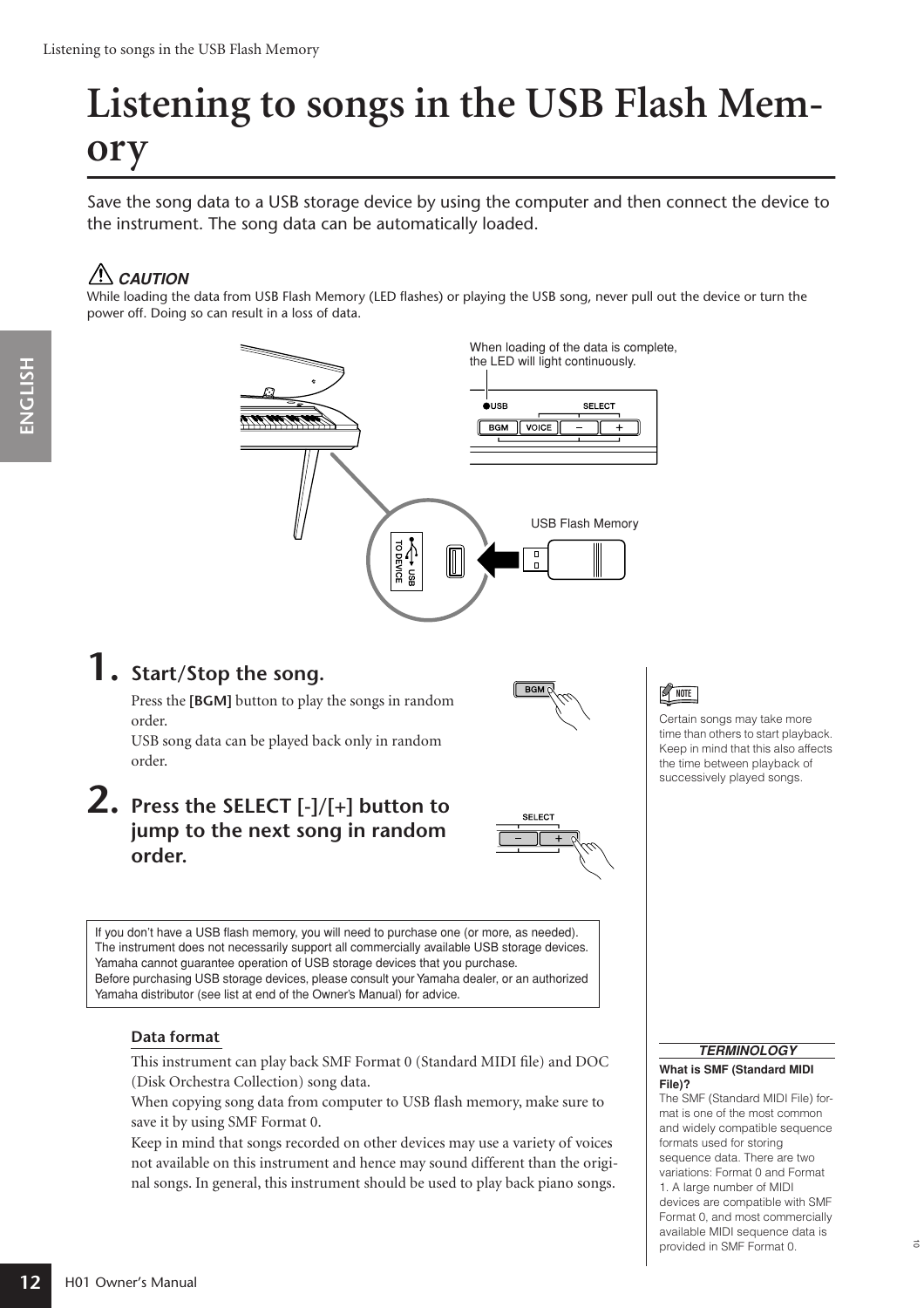## <span id="page-11-1"></span><span id="page-11-0"></span>**Listening to songs in the USB Flash Memory**

Save the song data to a USB storage device by using the computer and then connect the device to the instrument. The song data can be automatically loaded.

## *CAUTION*

While loading the data from USB Flash Memory (LED flashes) or playing the USB song, never pull out the device or turn the power off. Doing so can result in a loss of data.



## **1. Start/Stop the song.**

Press the **[BGM]** button to play the songs in random order.

USB song data can be played back only in random order.

## **2. Press the SELECT [-]/[+] button to jump to the next song in random order.**



SELECT



Certain songs may take more time than others to start playback. Keep in mind that this also affects the time between playback of successively played songs.

If you don't have a USB flash memory, you will need to purchase one (or more, as needed). The instrument does not necessarily support all commercially available USB storage devices. Yamaha cannot guarantee operation of USB storage devices that you purchase. Before purchasing USB storage devices, please consult your Yamaha dealer, or an authorized Yamaha distributor (see list at end of the Owner's Manual) for advice.

## **Data format**

This instrument can play back SMF Format 0 (Standard MIDI file) and DOC (Disk Orchestra Collection) song data.

When copying song data from computer to USB flash memory, make sure to save it by using SMF Format 0.

Keep in mind that songs recorded on other devices may use a variety of voices not available on this instrument and hence may sound different than the original songs. In general, this instrument should be used to play back piano songs.

## *TERMINOLOGY*

#### **What is SMF (Standard MIDI File)?**

The SMF (Standard MIDI File) format is one of the most common and widely compatible sequence formats used for storing sequence data. There are two variations: Format 0 and Format 1. A large number of MIDI devices are compatible with SMF Format 0, and most commercially available MIDI sequence data is provided in SMF Format 0.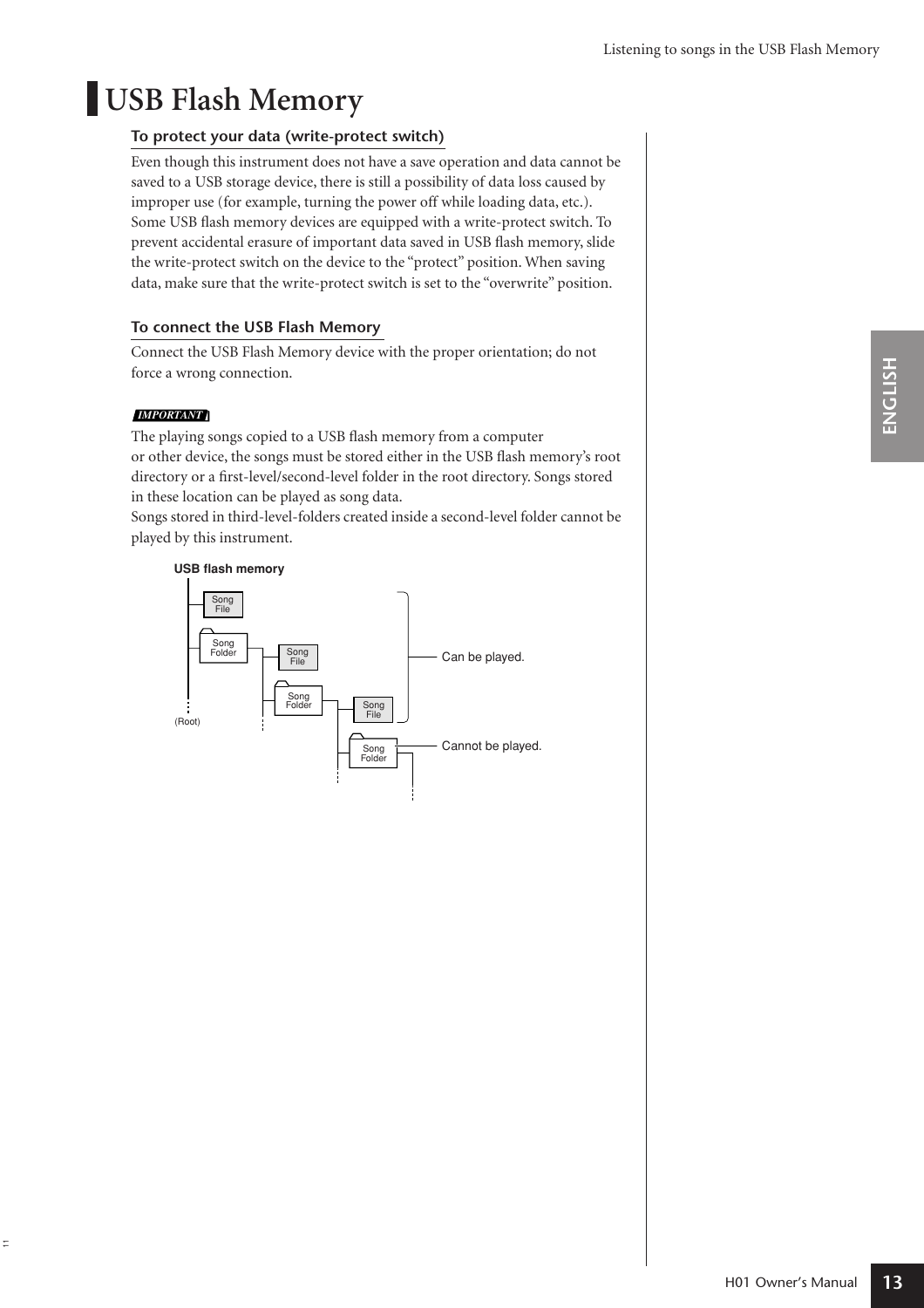## <span id="page-12-0"></span>**USB Flash Memory**

### **To protect your data (write-protect switch)**

Even though this instrument does not have a save operation and data cannot be saved to a USB storage device, there is still a possibility of data loss caused by improper use (for example, turning the power off while loading data, etc.). Some USB flash memory devices are equipped with a write-protect switch. To prevent accidental erasure of important data saved in USB flash memory, slide the write-protect switch on the device to the "protect" position. When saving data, make sure that the write-protect switch is set to the "overwrite" position.

### **To connect the USB Flash Memory**

Connect the USB Flash Memory device with the proper orientation; do not force a wrong connection.

### *IMPORTANT*

 $\pm$ 

The playing songs copied to a USB flash memory from a computer or other device, the songs must be stored either in the USB flash memory's root directory or a first-level/second-level folder in the root directory. Songs stored in these location can be played as song data.

Songs stored in third-level-folders created inside a second-level folder cannot be played by this instrument.



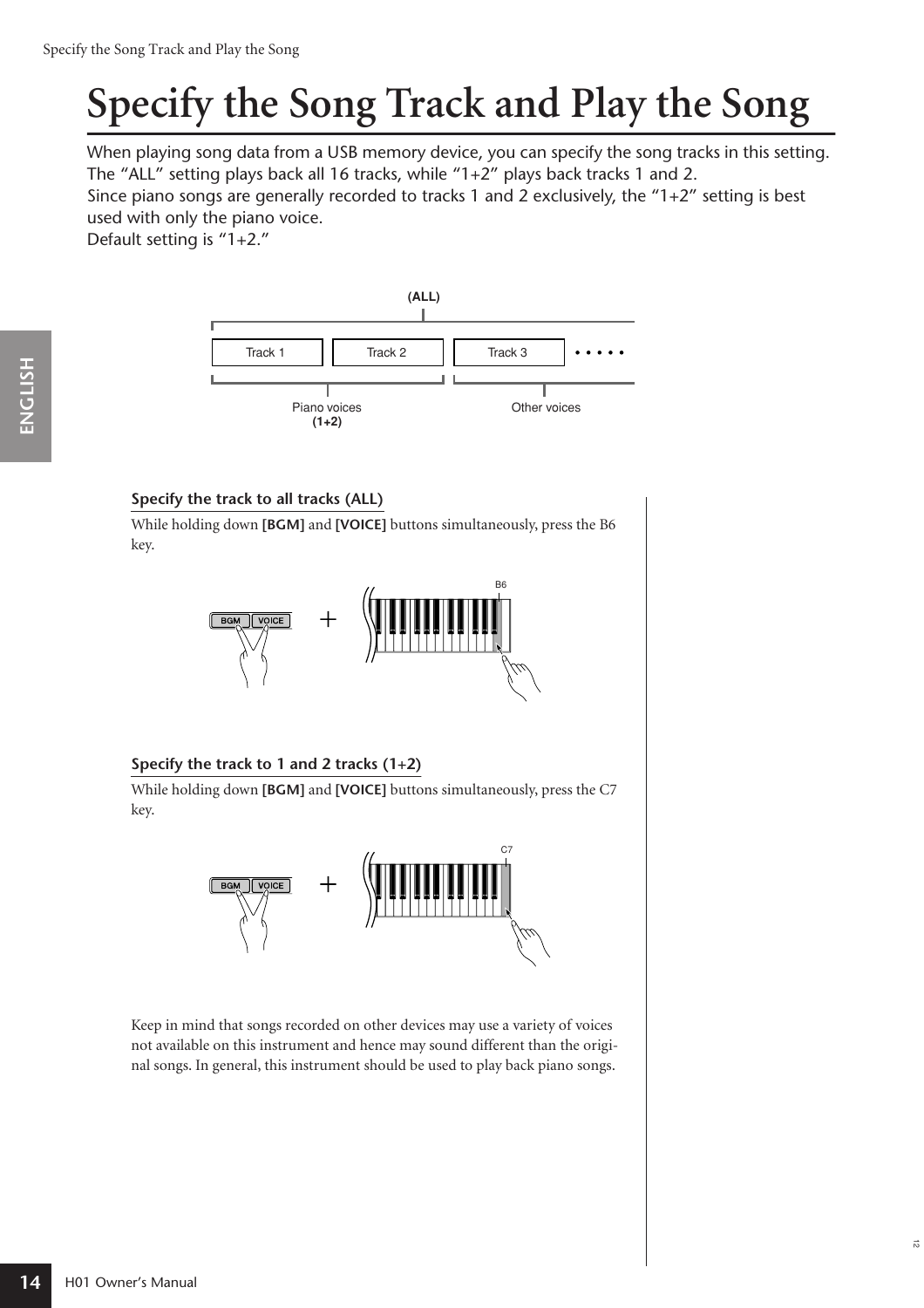## <span id="page-13-1"></span><span id="page-13-0"></span>**Specify the Song Track and Play the Song**

When playing song data from a USB memory device, you can specify the song tracks in this setting. The "ALL" setting plays back all 16 tracks, while "1+2" plays back tracks 1 and 2. Since piano songs are generally recorded to tracks 1 and 2 exclusively, the "1+2" setting is best used with only the piano voice. Default setting is "1+2."



### **Specify the track to all tracks (ALL)**

While holding down **[BGM]** and **[VOICE]** buttons simultaneously, press the B6 key.



### **Specify the track to 1 and 2 tracks (1+2)**

While holding down **[BGM]** and **[VOICE]** buttons simultaneously, press the C7 key.



Keep in mind that songs recorded on other devices may use a variety of voices not available on this instrument and hence may sound different than the original songs. In general, this instrument should be used to play back piano songs.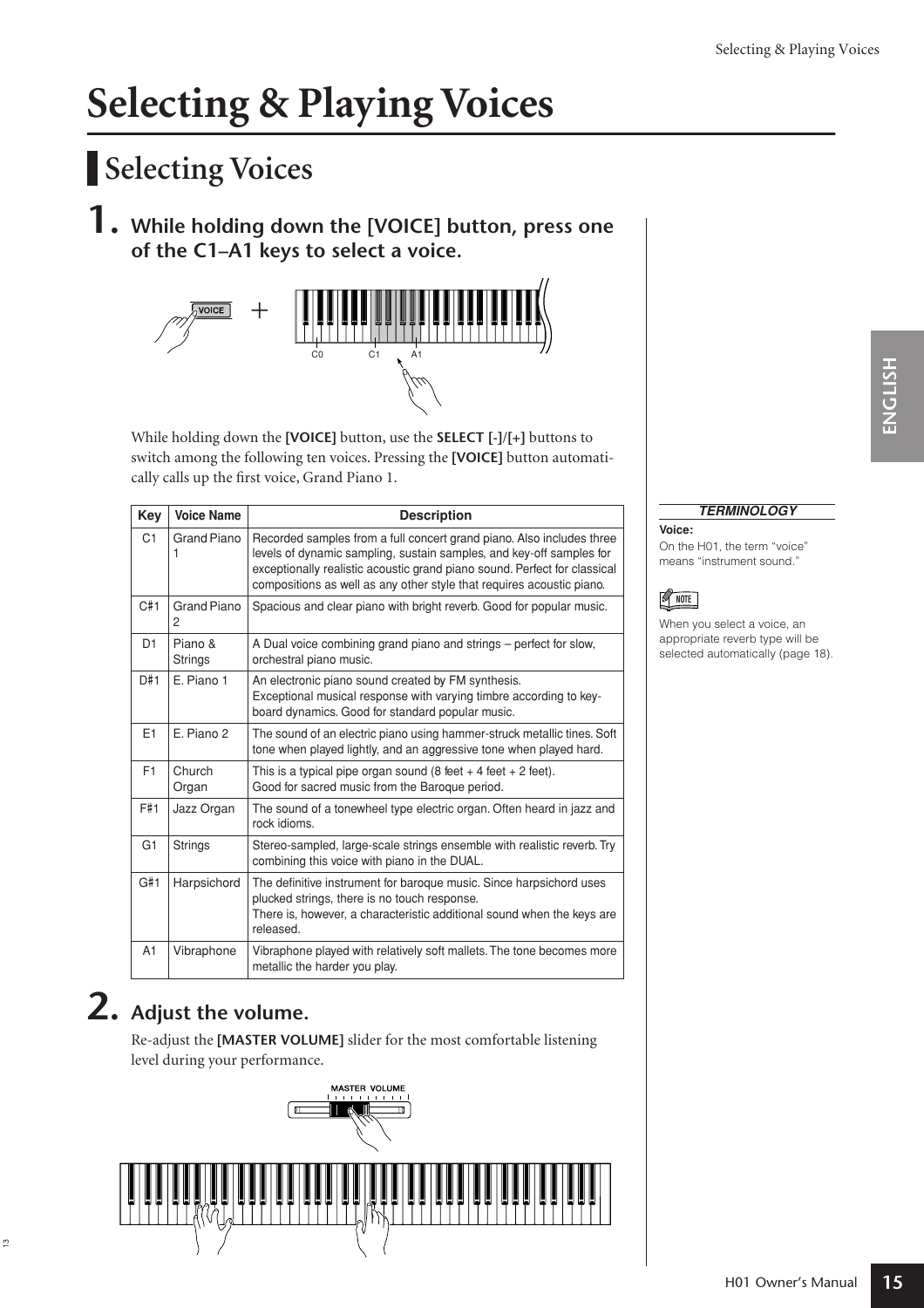## <span id="page-14-1"></span><span id="page-14-0"></span>**Selecting & Playing Voices**

## <span id="page-14-3"></span><span id="page-14-2"></span>**Selecting Voices**

**1. While holding down the [VOICE] button, press one of the C1–A1 keys to select a voice.**



While holding down the **[VOICE]** button, use the **SELECT [-]**/**[+]** buttons to switch among the following ten voices. Pressing the **[VOICE]** button automatically calls up the first voice, Grand Piano 1.

| <b>Key</b>     | <b>Voice Name</b>       | <b>Description</b>                                                                                                                                                                                                                                                                                  |
|----------------|-------------------------|-----------------------------------------------------------------------------------------------------------------------------------------------------------------------------------------------------------------------------------------------------------------------------------------------------|
| C <sub>1</sub> | Grand Piano             | Recorded samples from a full concert grand piano. Also includes three<br>levels of dynamic sampling, sustain samples, and key-off samples for<br>exceptionally realistic acoustic grand piano sound. Perfect for classical<br>compositions as well as any other style that requires acoustic piano. |
| C#1            | <b>Grand Piano</b><br>2 | Spacious and clear piano with bright reverb. Good for popular music.                                                                                                                                                                                                                                |
| D <sub>1</sub> | Piano &<br>Strings      | A Dual voice combining grand piano and strings – perfect for slow,<br>orchestral piano music.                                                                                                                                                                                                       |
| D#1            | E. Piano 1              | An electronic piano sound created by FM synthesis.<br>Exceptional musical response with varying timbre according to key-<br>board dynamics. Good for standard popular music.                                                                                                                        |
| E <sub>1</sub> | E. Piano 2              | The sound of an electric piano using hammer-struck metallic tines. Soft<br>tone when played lightly, and an aggressive tone when played hard.                                                                                                                                                       |
| F <sub>1</sub> | Church<br>Organ         | This is a typical pipe organ sound (8 feet $+$ 4 feet $+$ 2 feet).<br>Good for sacred music from the Baroque period.                                                                                                                                                                                |
| F#1            | Jazz Organ              | The sound of a tonewheel type electric organ. Often heard in jazz and<br>rock idioms.                                                                                                                                                                                                               |
| G <sub>1</sub> | Strings                 | Stereo-sampled, large-scale strings ensemble with realistic reverb. Try<br>combining this voice with piano in the DUAL.                                                                                                                                                                             |
| G#1            | Harpsichord             | The definitive instrument for baroque music. Since harpsichord uses<br>plucked strings, there is no touch response.<br>There is, however, a characteristic additional sound when the keys are<br>released.                                                                                          |
| A <sub>1</sub> | Vibraphone              | Vibraphone played with relatively soft mallets. The tone becomes more<br>metallic the harder you play.                                                                                                                                                                                              |

## **2. Adjust the volume.**

 $\frac{1}{2}$ 

Re-adjust the **[MASTER VOLUME]** slider for the most comfortable listening level during your performance.



## *TERMINOLOGY*

**Voice:** On the H01, the term "voice" means "instrument sound."



When you select a voice, an appropriate reverb type will be selected automatically [\(page 18](#page-17-0)).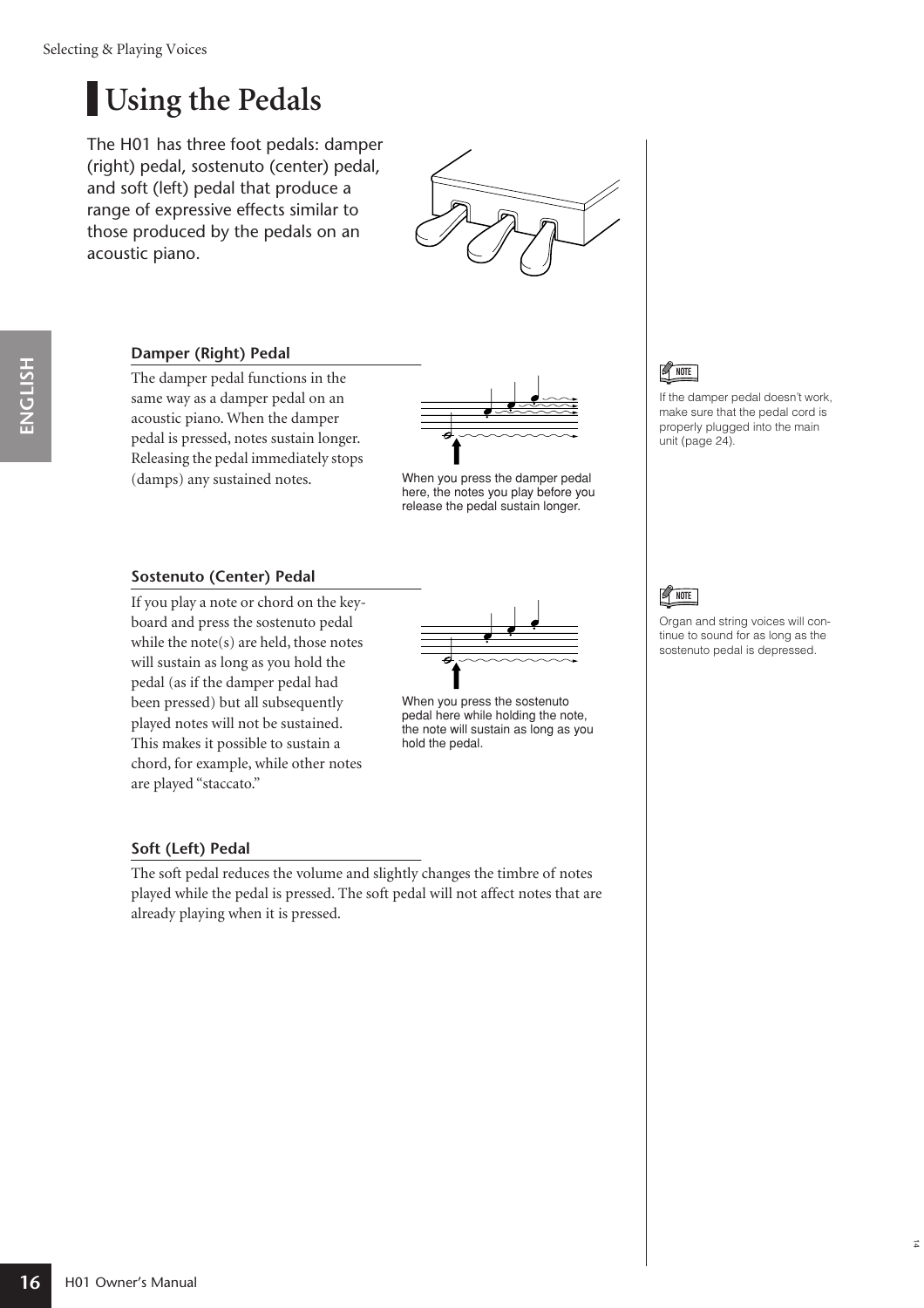## <span id="page-15-1"></span><span id="page-15-0"></span>**Using the Pedals**

The H01 has three foot pedals: damper (right) pedal, sostenuto (center) pedal, and soft (left) pedal that produce a range of expressive effects similar to those produced by the pedals on an acoustic piano.



## **Damper (Right) Pedal**

The damper pedal functions in the same way as a damper pedal on an acoustic piano. When the damper pedal is pressed, notes sustain longer. Releasing the pedal immediately stops (damps) any sustained notes.



When you press the damper pedal here, the notes you play before you release the pedal sustain longer.



If the damper pedal doesn't work, make sure that the pedal cord is properly plugged into the main unit [\(page 24](#page-23-0)).

## **Sostenuto (Center) Pedal**

If you play a note or chord on the keyboard and press the sostenuto pedal while the note(s) are held, those notes will sustain as long as you hold the pedal (as if the damper pedal had been pressed) but all subsequently played notes will not be sustained. This makes it possible to sustain a chord, for example, while other notes are played "staccato."



When you press the sostenuto pedal here while holding the note, the note will sustain as long as you hold the pedal.

## **Soft (Left) Pedal**

The soft pedal reduces the volume and slightly changes the timbre of notes played while the pedal is pressed. The soft pedal will not affect notes that are already playing when it is pressed.



Organ and string voices will continue to sound for as long as the sostenuto pedal is depressed.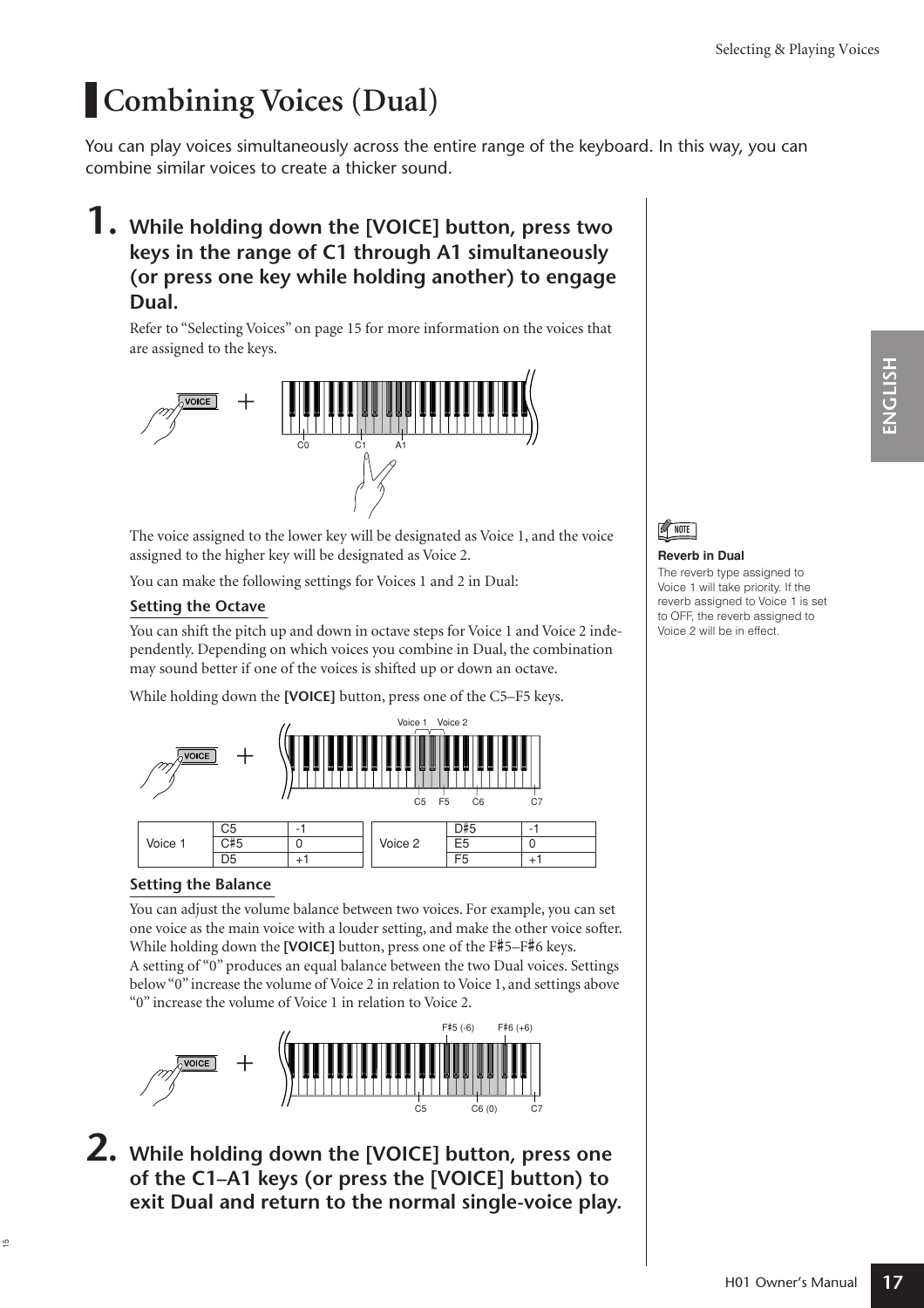## <span id="page-16-1"></span><span id="page-16-0"></span>**Combining Voices (Dual)**

You can play voices simultaneously across the entire range of the keyboard. In this way, you can combine similar voices to create a thicker sound.

## **1. While holding down the [VOICE] button, press two keys in the range of C1 through A1 simultaneously (or press one key while holding another) to engage Dual.**

Refer to "[Selecting Voices"](#page-14-2) on [page 15](#page-14-2) for more information on the voices that are assigned to the keys.



The voice assigned to the lower key will be designated as Voice 1, and the voice assigned to the higher key will be designated as Voice 2.

You can make the following settings for Voices 1 and 2 in Dual:

## **Setting the Octave**

You can shift the pitch up and down in octave steps for Voice 1 and Voice 2 independently. Depending on which voices you combine in Dual, the combination may sound better if one of the voices is shifted up or down an octave.

While holding down the **[VOICE]** button, press one of the C5–F5 keys.



### **Setting the Balance**

 $15$ 

You can adjust the volume balance between two voices. For example, you can set one voice as the main voice with a louder setting, and make the other voice softer. While holding down the **[VOICE]** button, press one of the F#5–F#6 keys. A setting of "0" produces an equal balance between the two Dual voices. Settings below "0" increase the volume of Voice 2 in relation to Voice 1, and settings above

C5 C6 (0) C7



**2. While holding down the [VOICE] button, press one of the C1–A1 keys (or press the [VOICE] button) to exit Dual and return to the normal single-voice play.**



## **Reverb in Dual**

The reverb type assigned to Voice 1 will take priority. If the reverb assigned to Voice 1 is set to OFF, the reverb assigned to Voice 2 will be in effect.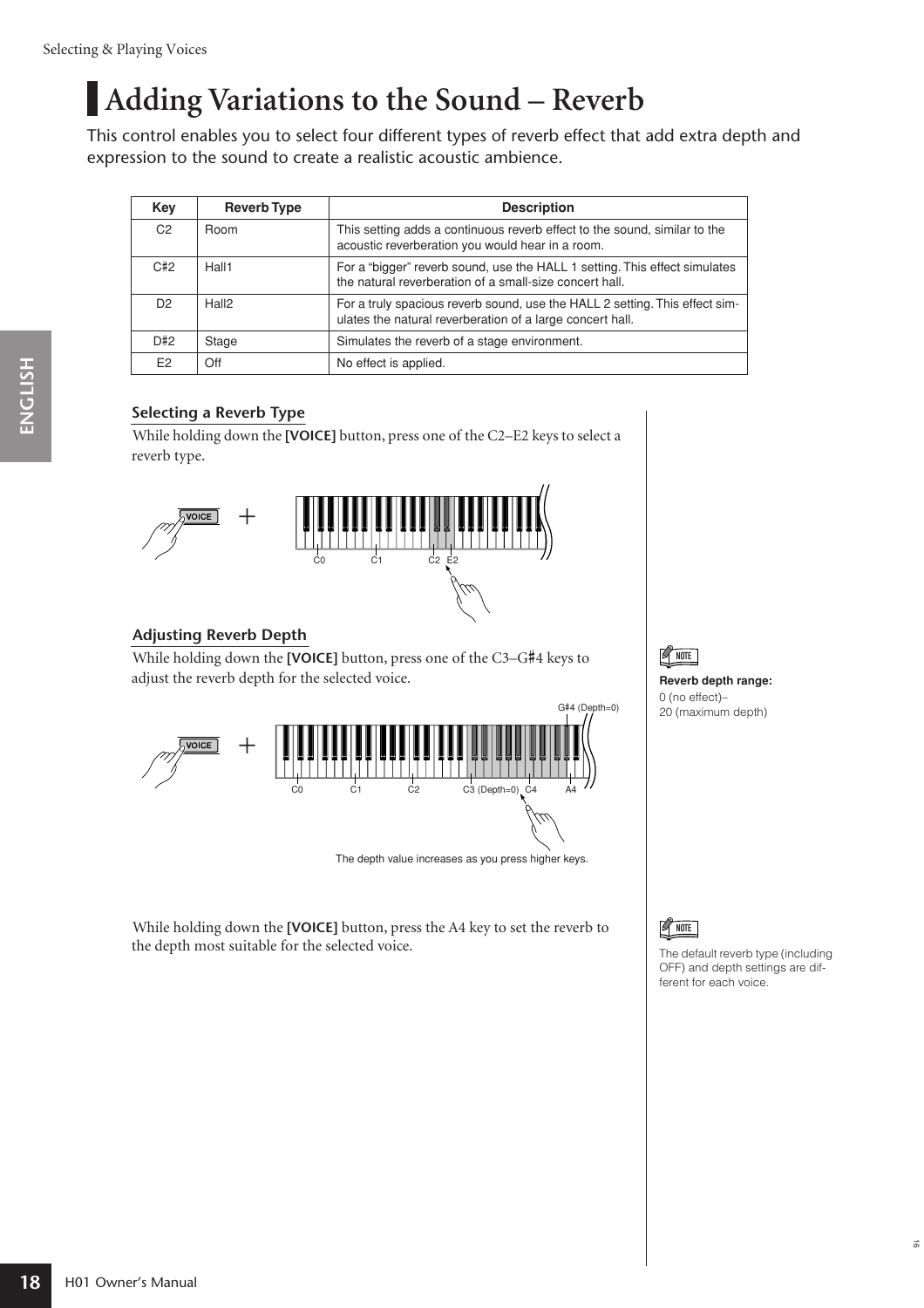## <span id="page-17-1"></span><span id="page-17-0"></span>**Adding Variations to the Sound – Reverb**

This control enables you to select four different types of reverb effect that add extra depth and expression to the sound to create a realistic acoustic ambience.

| Key            | <b>Reverb Type</b> | <b>Description</b>                                                                                                                       |
|----------------|--------------------|------------------------------------------------------------------------------------------------------------------------------------------|
| C <sub>2</sub> | Room               | This setting adds a continuous reverb effect to the sound, similar to the<br>acoustic reverberation you would hear in a room.            |
| C#2            | Hall1              | For a "bigger" reverb sound, use the HALL 1 setting. This effect simulates<br>the natural reverberation of a small-size concert hall.    |
| D <sub>2</sub> | Hall <sub>2</sub>  | For a truly spacious reverb sound, use the HALL 2 setting. This effect sim-<br>ulates the natural reverberation of a large concert hall. |
| D#2            | Stage              | Simulates the reverb of a stage environment.                                                                                             |
| E <sub>2</sub> | Off                | No effect is applied.                                                                                                                    |

### **Selecting a Reverb Type**

While holding down the **[VOICE]** button, press one of the C2–E2 keys to select a reverb type.



## **Adjusting Reverb Depth**

While holding down the **[VOICE]** button, press one of the C3–G#4 keys to adjust the reverb depth for the selected voice.



While holding down the **[VOICE]** button, press the A4 key to set the reverb to the depth most suitable for the selected voice.

**NOTE** 

**Reverb depth range:** 0 (no effect)– 20 (maximum depth)

**NOTE** 

The default reverb type (including OFF) and depth settings are different for each voice.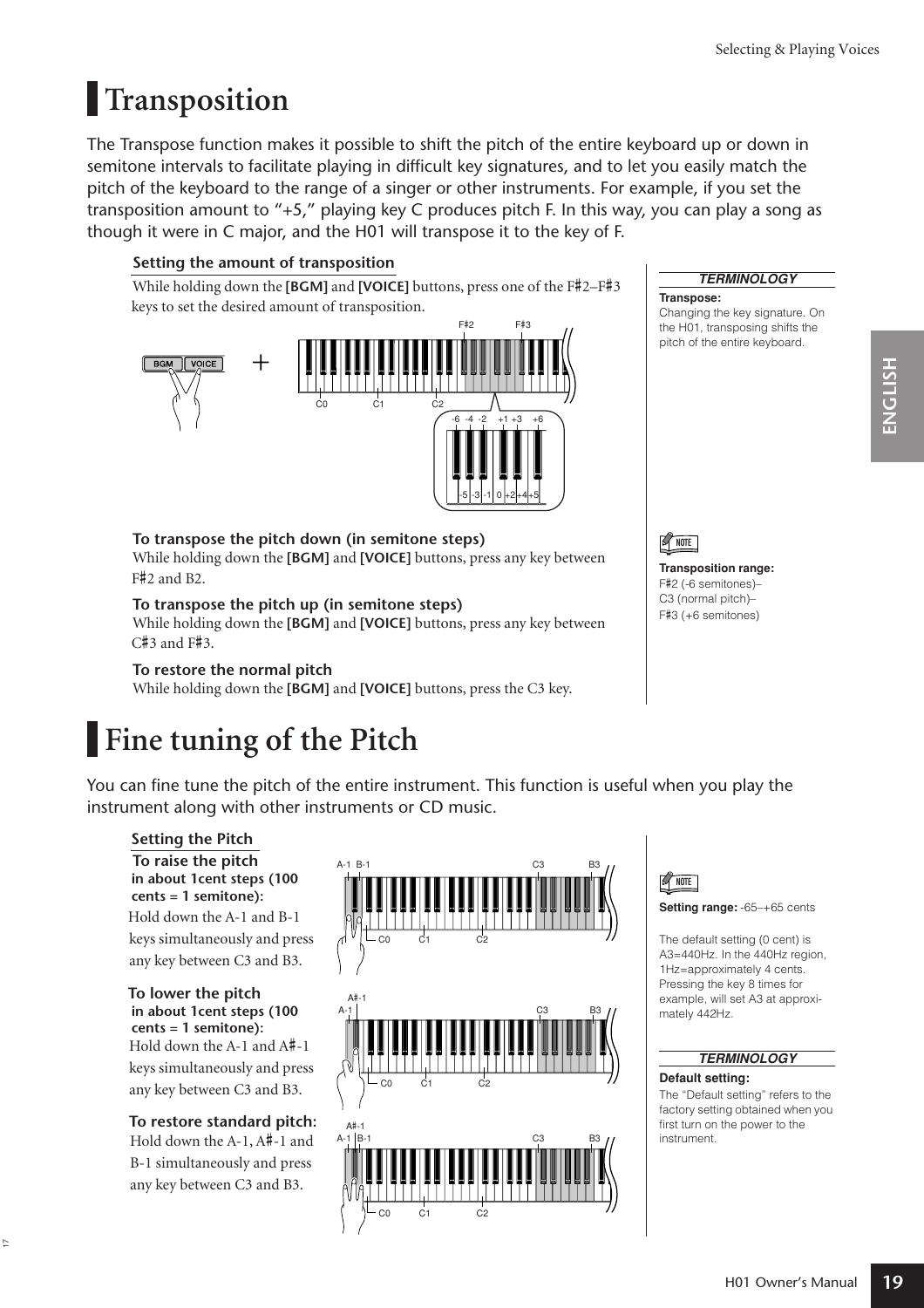## <span id="page-18-2"></span><span id="page-18-0"></span>**Transposition**

The Transpose function makes it possible to shift the pitch of the entire keyboard up or down in semitone intervals to facilitate playing in difficult key signatures, and to let you easily match the pitch of the keyboard to the range of a singer or other instruments. For example, if you set the transposition amount to "+5," playing key C produces pitch F. In this way, you can play a song as though it were in C major, and the H01 will transpose it to the key of F.

-1 0

-5 -3 -1 0 +2 +4 +5

## **Setting the amount of transposition**

While holding down the **[BGM]** and **[VOICE]** buttons, press one of the F#2–F#3 keys to set the desired amount of transposition.



## *TERMINOLOGY*

**Transpose:** Changing the key signature. On the H01, transposing shifts the pitch of the entire keyboard.

## **To transpose the pitch down (in semitone steps)**

While holding down the **[BGM]** and **[VOICE]** buttons, press any key between F#2 and B2.

### **To transpose the pitch up (in semitone steps)**

While holding down the **[BGM]** and **[VOICE]** buttons, press any key between C#3 and F#3.

### **To restore the normal pitch**

While holding down the **[BGM]** and **[VOICE]** buttons, press the C3 key.

## <span id="page-18-1"></span>**Fine tuning of the Pitch**

You can fine tune the pitch of the entire instrument. This function is useful when you play the instrument along with other instruments or CD music.

### **Setting the Pitch**

**To raise the pitch in about 1cent steps (100 cents = 1 semitone):** Hold down the A-1 and B-1 keys simultaneously and press any key between C3 and B3.

## **To lower the pitch in about 1cent steps (100 cents = 1 semitone):** Hold down the A-1 and A#-1

keys simultaneously and press any key between C3 and B3.

**To restore standard pitch:** Hold down the A-1, A#-1 and B-1 simultaneously and press any key between C3 and B3.

17



## **NOTE**

**Transposition range:** F#2 (-6 semitones)– C3 (normal pitch)– F#3 (+6 semitones)



#### **Setting range:** -65–+65 cents

The default setting (0 cent) is A3=440Hz. In the 440Hz region, 1Hz=approximately 4 cents. Pressing the key 8 times for example, will set A3 at approximately 442Hz.

### *TERMINOLOGY*

### **Default setting:**

The "Default setting" refers to the factory setting obtained when you first turn on the power to the instrument.

**ENGLISH**

ENGLISH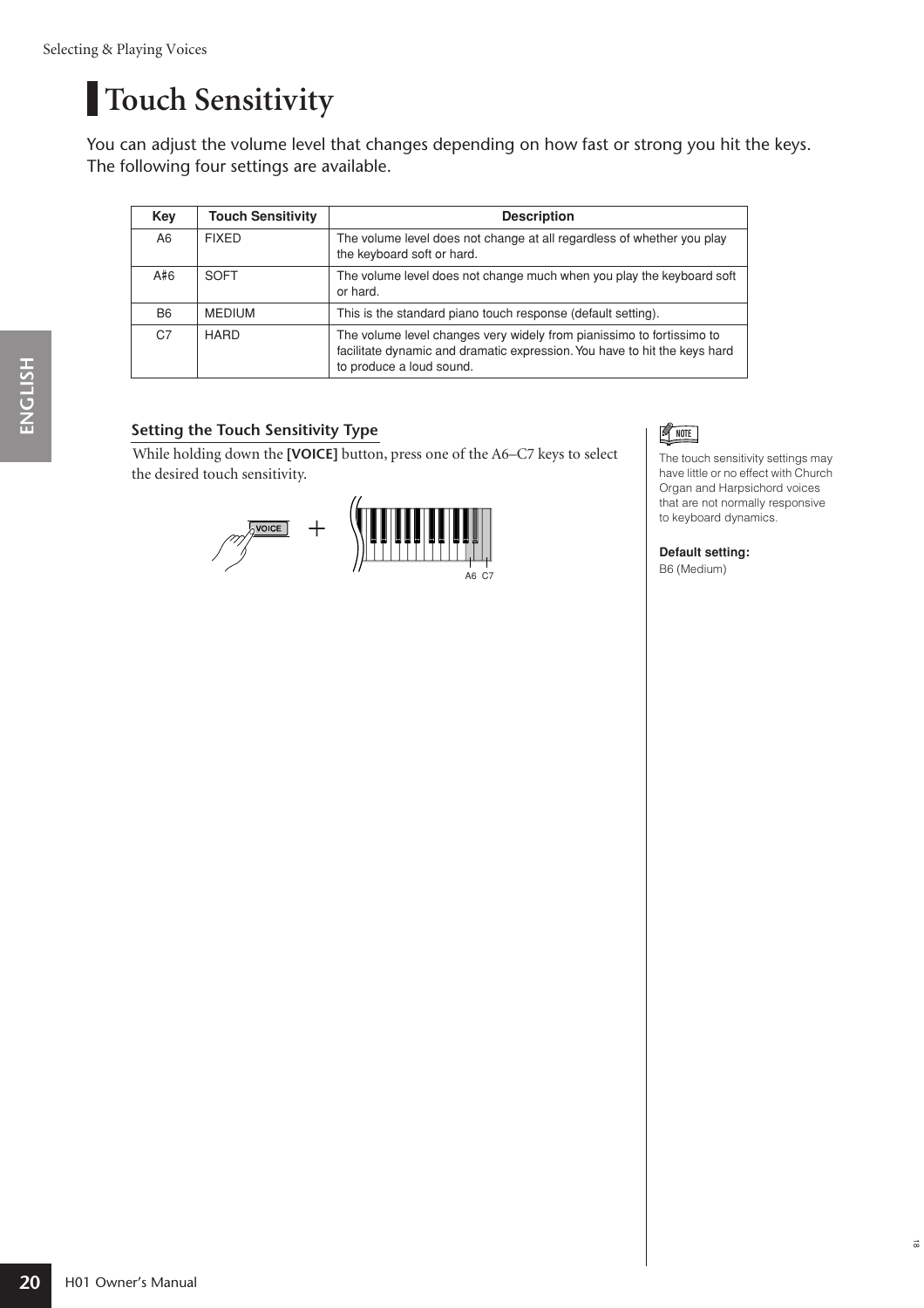## <span id="page-19-1"></span><span id="page-19-0"></span>**Touch Sensitivity**

You can adjust the volume level that changes depending on how fast or strong you hit the keys. The following four settings are available.

| Key | <b>Touch Sensitivity</b> | <b>Description</b>                                                                                                                                                             |
|-----|--------------------------|--------------------------------------------------------------------------------------------------------------------------------------------------------------------------------|
| A6  | <b>FIXED</b>             | The volume level does not change at all regardless of whether you play<br>the keyboard soft or hard.                                                                           |
| A#6 | <b>SOFT</b>              | The volume level does not change much when you play the keyboard soft<br>or hard.                                                                                              |
| B6  | <b>MEDIUM</b>            | This is the standard piano touch response (default setting).                                                                                                                   |
| C7  | HARD                     | The volume level changes very widely from pianissimo to fortissimo to<br>facilitate dynamic and dramatic expression. You have to hit the keys hard<br>to produce a loud sound. |

### **Setting the Touch Sensitivity Type**

While holding down the **[VOICE]** button, press one of the A6–C7 keys to select the desired touch sensitivity.







The touch sensitivity settings may have little or no effect with Church Organ and Harpsichord voices that are not normally responsive to keyboard dynamics.

**Default setting:** 

B6 (Medium)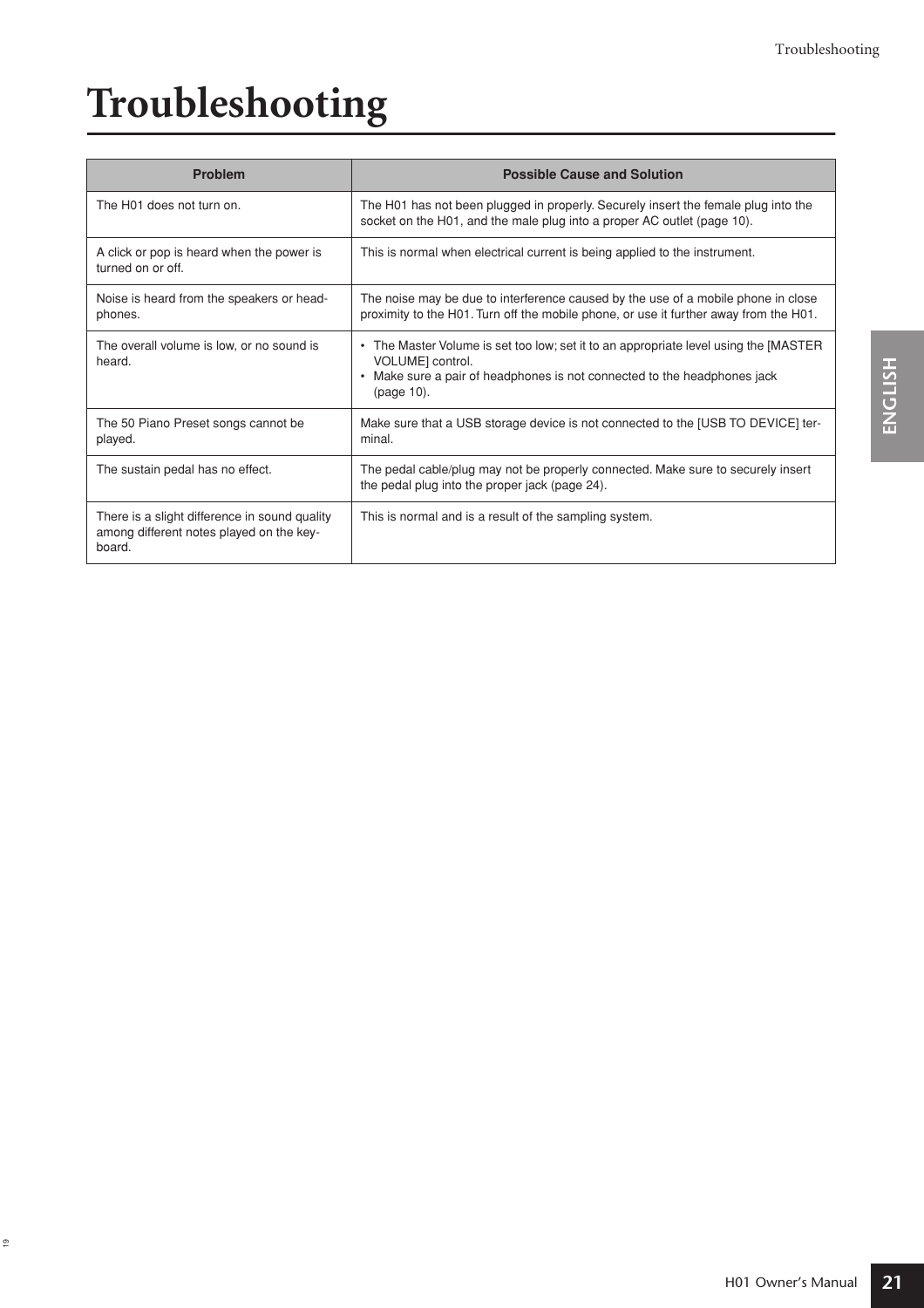## <span id="page-20-0"></span>**Troubleshooting**

| <b>Problem</b>                                                                                      | <b>Possible Cause and Solution</b>                                                                                                                                                                             |
|-----------------------------------------------------------------------------------------------------|----------------------------------------------------------------------------------------------------------------------------------------------------------------------------------------------------------------|
| The H01 does not turn on.                                                                           | The H01 has not been plugged in properly. Securely insert the female plug into the<br>socket on the H01, and the male plug into a proper AC outlet (page 10).                                                  |
| A click or pop is heard when the power is<br>turned on or off.                                      | This is normal when electrical current is being applied to the instrument.                                                                                                                                     |
| Noise is heard from the speakers or head-<br>phones.                                                | The noise may be due to interference caused by the use of a mobile phone in close<br>proximity to the H01. Turn off the mobile phone, or use it further away from the H01.                                     |
| The overall volume is low, or no sound is<br>heard.                                                 | • The Master Volume is set too low; set it to an appropriate level using the [MASTER]<br>VOLUME] control.<br>Make sure a pair of headphones is not connected to the headphones jack<br>$\bullet$<br>(page 10). |
| The 50 Piano Preset songs cannot be<br>played.                                                      | Make sure that a USB storage device is not connected to the [USB TO DEVICE] ter-<br>minal.                                                                                                                     |
| The sustain pedal has no effect.                                                                    | The pedal cable/plug may not be properly connected. Make sure to securely insert<br>the pedal plug into the proper jack (page 24).                                                                             |
| There is a slight difference in sound quality<br>among different notes played on the key-<br>board. | This is normal and is a result of the sampling system.                                                                                                                                                         |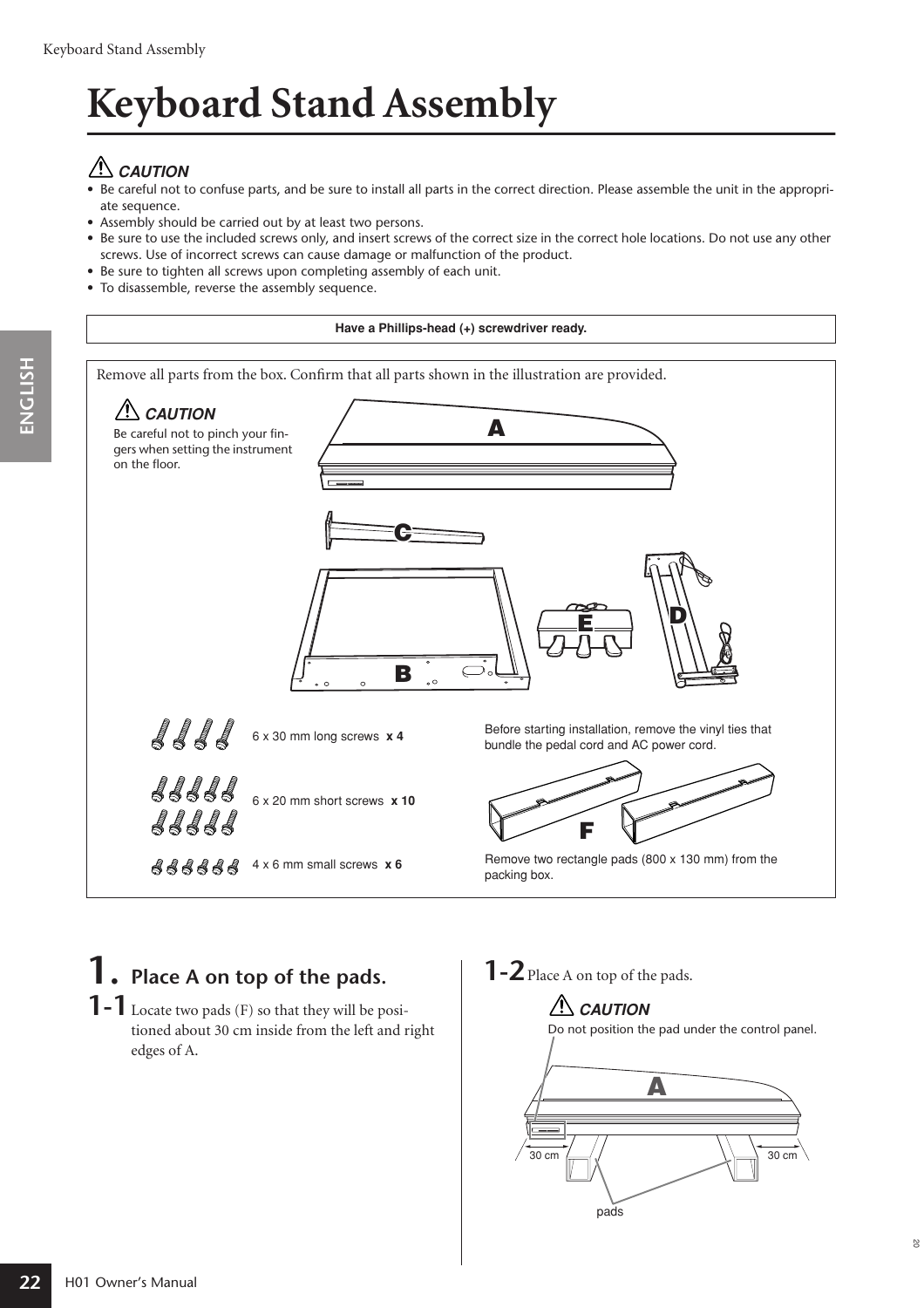## <span id="page-21-0"></span>**Keyboard Stand Assembly**

## *CAUTION*

- Be careful not to confuse parts, and be sure to install all parts in the correct direction. Please assemble the unit in the appropriate sequence.
- Assembly should be carried out by at least two persons.
- Be sure to use the included screws only, and insert screws of the correct size in the correct hole locations. Do not use any other screws. Use of incorrect screws can cause damage or malfunction of the product.
- Be sure to tighten all screws upon completing assembly of each unit.
- To disassemble, reverse the assembly sequence.





## **1. Place A on top of the pads.**

**1-1**Locate two pads (F) so that they will be positioned about 30 cm inside from the left and right edges of A.



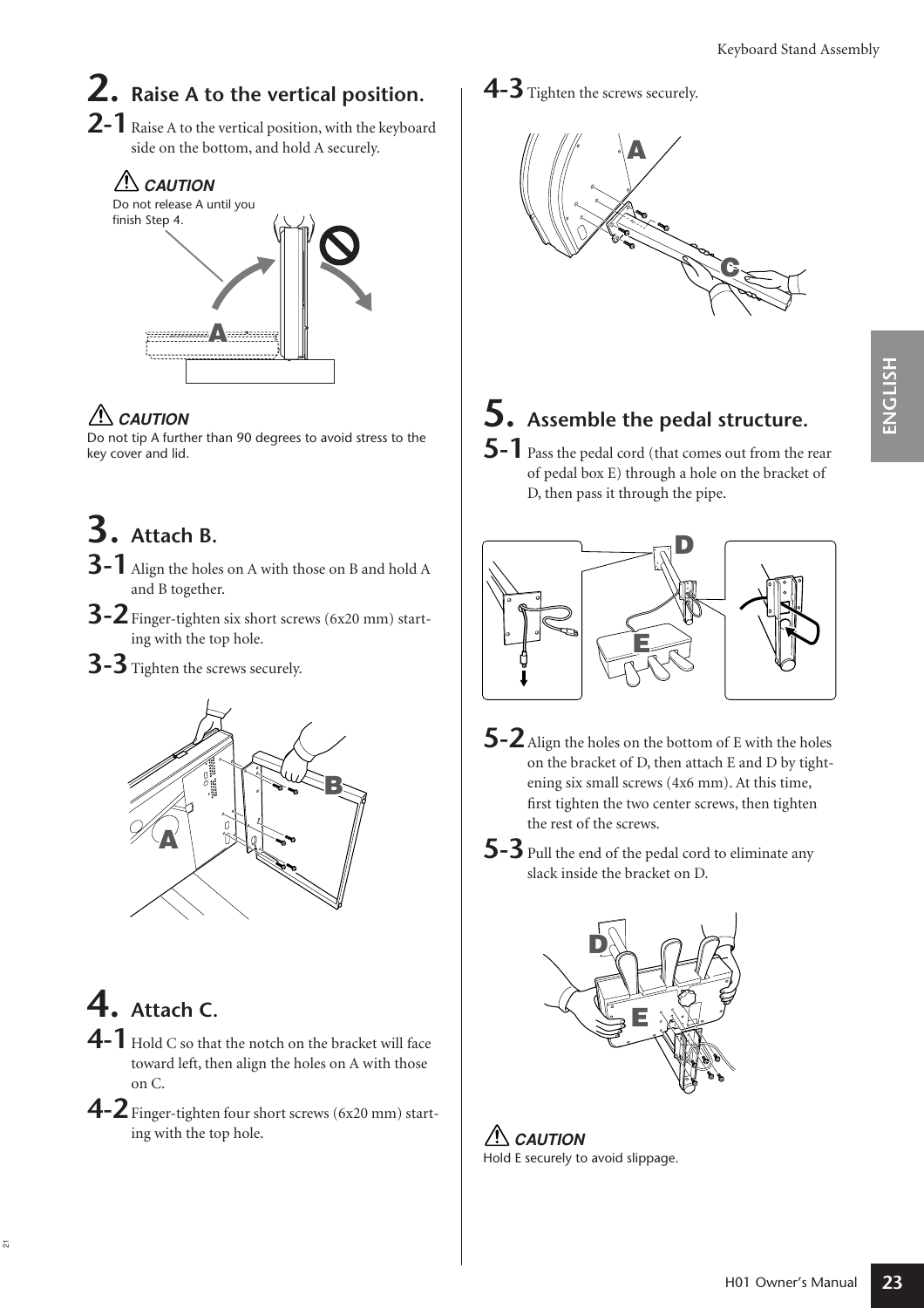

side on the bottom, and hold A securely.

## $\triangle$  *CAUTION*



## *CAUTION*

Do not tip A further than 90 degrees to avoid stress to the key cover and lid.

## **3. Attach B.**

- **3-1** Align the holes on A with those on B and hold A and B together.
- **3-2**Finger-tighten six short screws (6x20 mm) starting with the top hole.
- **3-3** Tighten the screws securely.



## **4. Attach C.**

- **4-1** Hold C so that the notch on the bracket will face toward left, then align the holes on A with those on C.
- **4-2**Finger-tighten four short screws (6x20 mm) starting with the top hole.

**4-3** Tighten the screws securely.



## **5. Assemble the pedal structure.**

**5-1**Pass the pedal cord (that comes out from the rear of pedal box E) through a hole on the bracket of D, then pass it through the pipe.



- **5-2** Align the holes on the bottom of E with the holes on the bracket of D, then attach E and D by tightening six small screws (4x6 mm). At this time, first tighten the two center screws, then tighten the rest of the screws.
- **5-3**Pull the end of the pedal cord to eliminate any slack inside the bracket on D.



*CAUTION* Hold E securely to avoid slippage.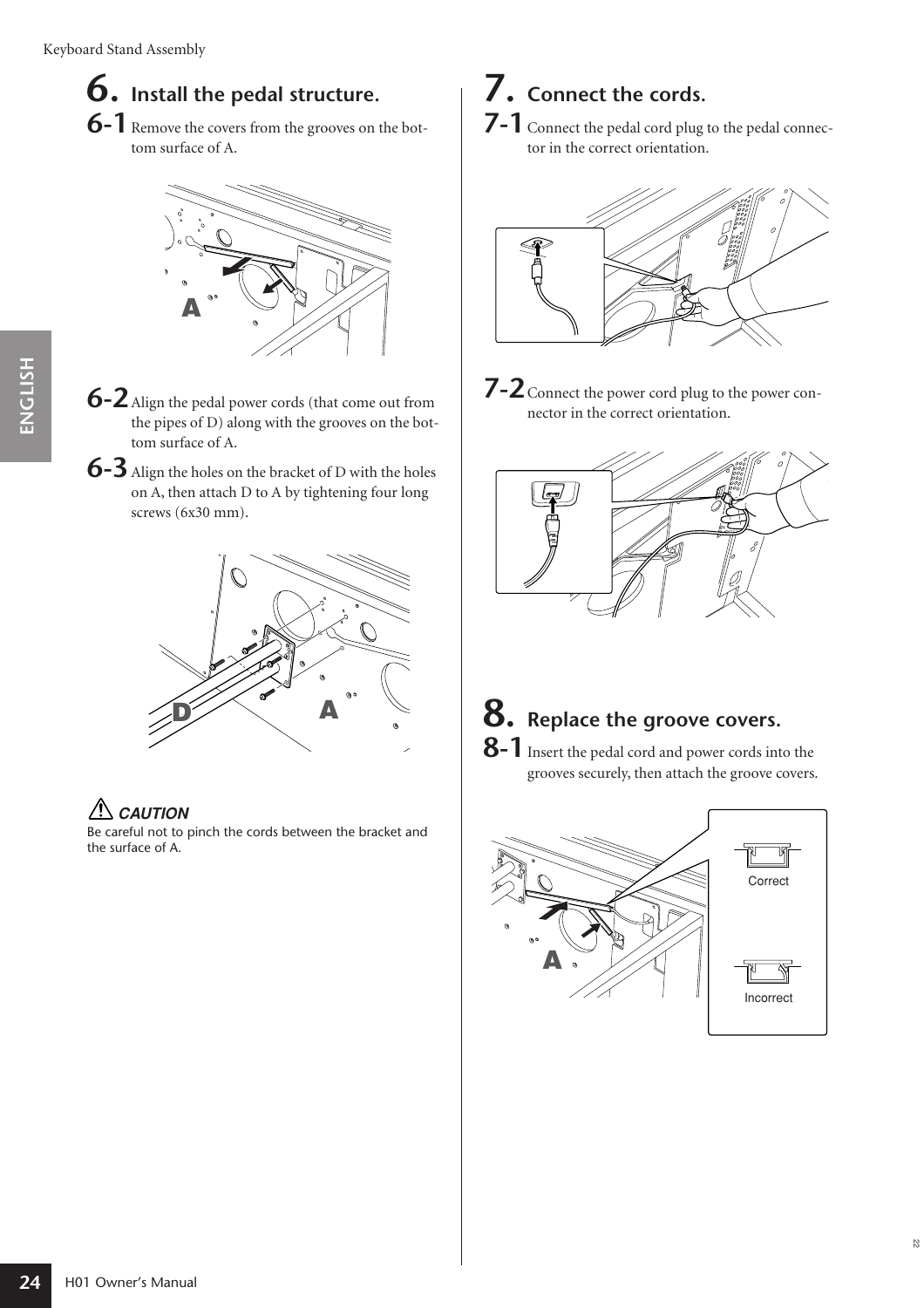## **6. Install the pedal structure.**

**6-1** Remove the covers from the grooves on the bottom surface of A.



- **6-2** Align the pedal power cords (that come out from the pipes of D) along with the grooves on the bottom surface of A.
- **6-3** Align the holes on the bracket of D with the holes on A, then attach D to A by tightening four long screws (6x30 mm).



## $\triangle$  *CAUTION*

Be careful not to pinch the cords between the bracket and the surface of A.

## <span id="page-23-1"></span><span id="page-23-0"></span>**7. Connect the cords.**

**7-1** Connect the pedal cord plug to the pedal connector in the correct orientation.



**7-2** Connect the power cord plug to the power connector in the correct orientation.



**8. Replace the groove covers.**

**8-1**Insert the pedal cord and power cords into the grooves securely, then attach the groove covers.

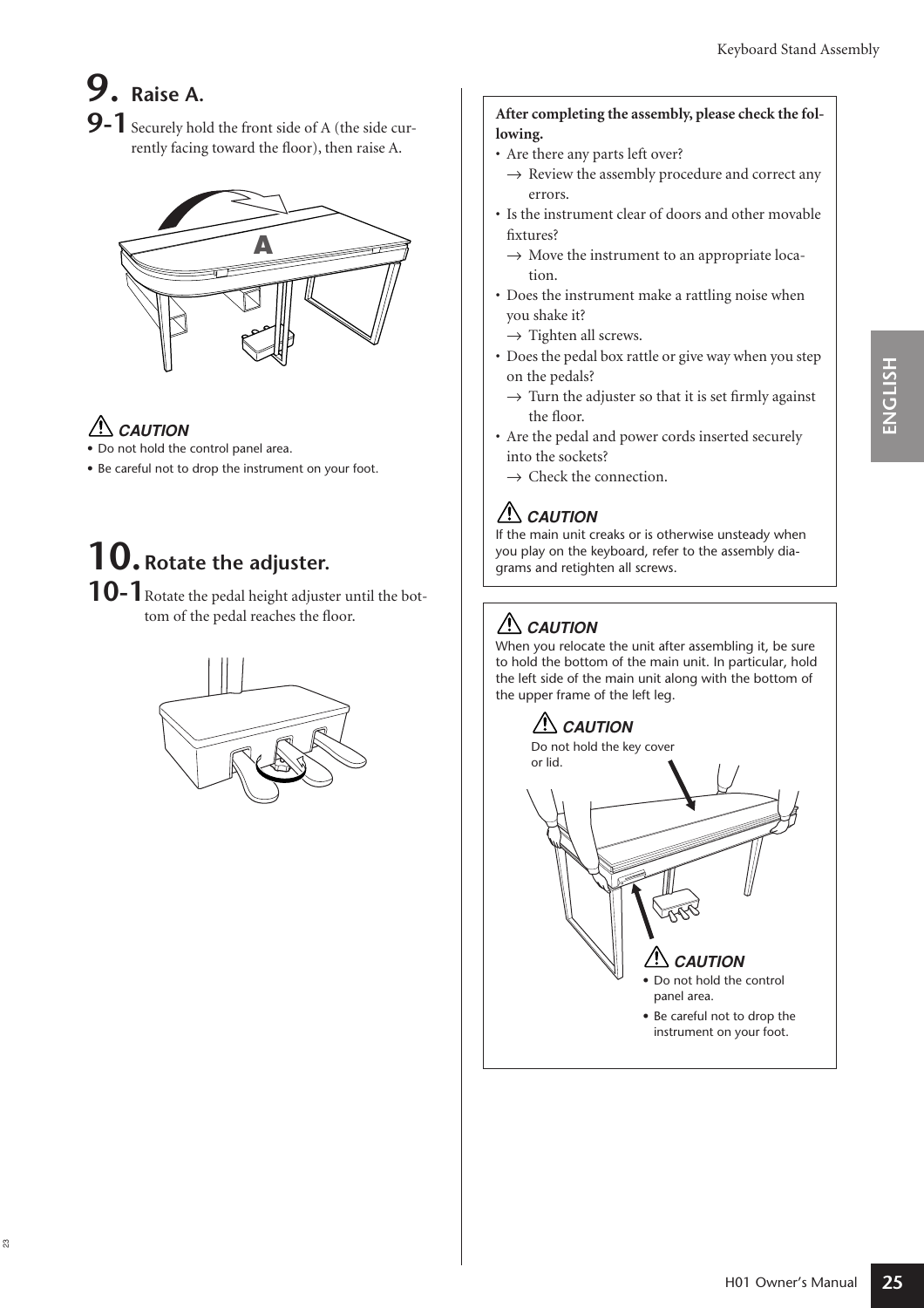## **9. Raise A.**

**9-1**Securely hold the front side of A (the side currently facing toward the floor), then raise A.



## $\Lambda$  *CAUTION*

- Do not hold the control panel area.
- Be careful not to drop the instrument on your foot.

## **10.Rotate the adjuster.**

**10-1**Rotate the pedal height adjuster until the bottom of the pedal reaches the floor.



### **After completing the assembly, please check the following.**

- Are there any parts left over?
	- $\rightarrow$  Review the assembly procedure and correct any errors.
- Is the instrument clear of doors and other movable fixtures?
	- $\rightarrow$  Move the instrument to an appropriate location.
- Does the instrument make a rattling noise when you shake it?
	- $\rightarrow$  Tighten all screws.
- Does the pedal box rattle or give way when you step on the pedals?
	- $\rightarrow$  Turn the adjuster so that it is set firmly against the floor.
- Are the pedal and power cords inserted securely into the sockets?
	- $\rightarrow$  Check the connection.

## **AUTION**

If the main unit creaks or is otherwise unsteady when you play on the keyboard, refer to the assembly diagrams and retighten all screws.

## *CAUTION*

When you relocate the unit after assembling it, be sure to hold the bottom of the main unit. In particular, hold the left side of the main unit along with the bottom of the upper frame of the left leg.

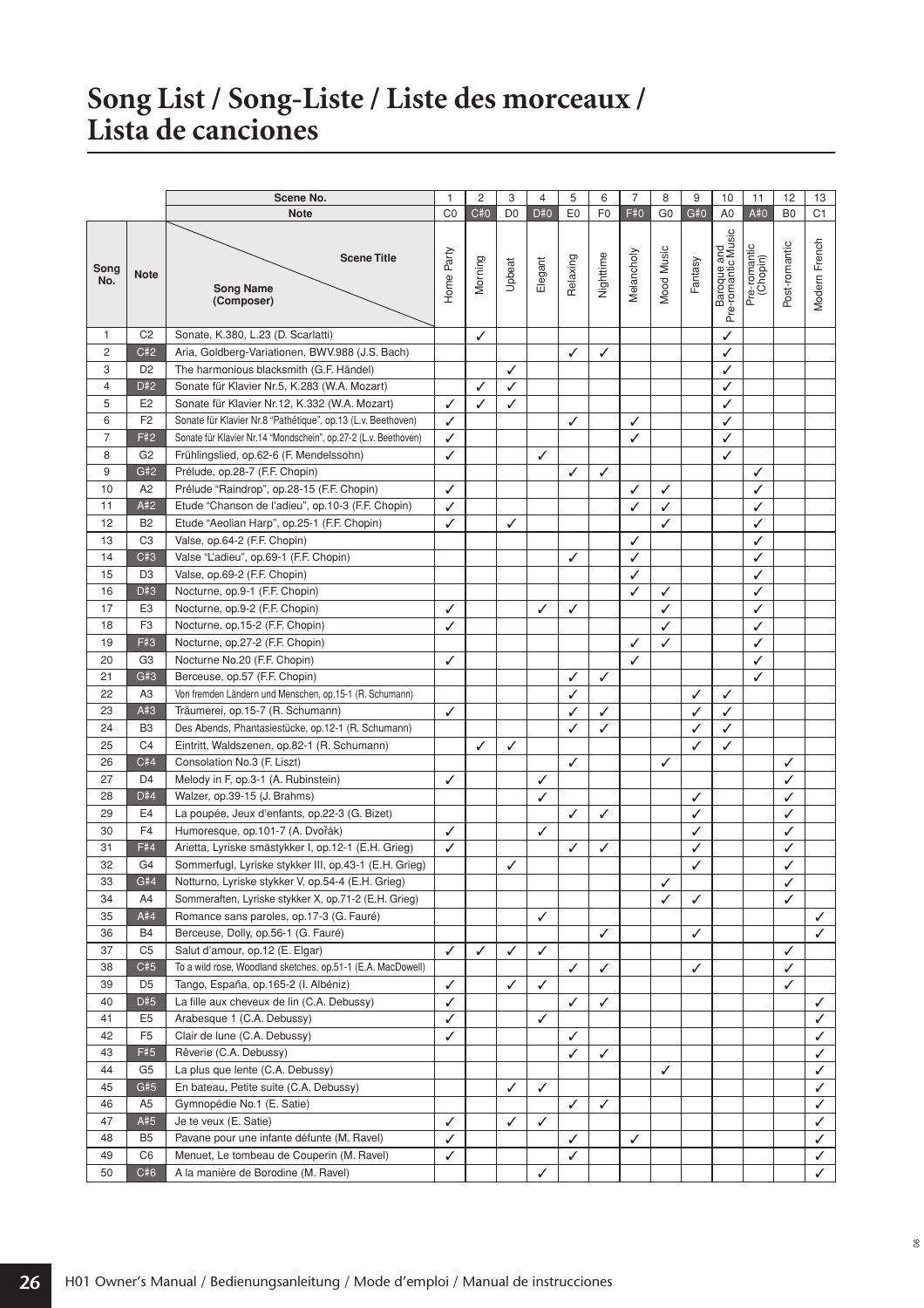## <span id="page-25-2"></span><span id="page-25-1"></span><span id="page-25-0"></span>**Song List / Song-Liste / Liste des morceaux / Lista de canciones**

|                |                | Scene No.                                                       |              | 2       | 3              | 4       | 5              | 6              | $\overline{7}$ | 8              | 9       | 10                                | 11                       | 12             | 13             |
|----------------|----------------|-----------------------------------------------------------------|--------------|---------|----------------|---------|----------------|----------------|----------------|----------------|---------|-----------------------------------|--------------------------|----------------|----------------|
|                |                | <b>Note</b>                                                     | CO           | C#0     | D <sub>0</sub> | D#0     | E <sub>0</sub> | F <sub>0</sub> | F#0            | G <sub>0</sub> | G#0     | A <sub>0</sub>                    | A#0                      | B <sub>0</sub> | C <sub>1</sub> |
| Song<br>No.    | <b>Note</b>    | <b>Scene Title</b><br><b>Song Name</b><br>(Composer)            | Home Party   | Morning | Upbeat         | Elegant | Relaxing       | Nighttime      | Melancholy     | Mood Music     | Fantasy | Baroque and<br>Pre-romantic Music | Pre-romantic<br>(Chopin) | Post-romantic  | Modern French  |
| 1              | C <sub>2</sub> | Sonate, K.380, L.23 (D. Scarlatti)                              |              | ✓       |                |         |                |                |                |                |         | ✓                                 |                          |                |                |
| $\overline{c}$ | C#2            | Aria, Goldberg-Variationen, BWV.988 (J.S. Bach)                 |              |         |                |         | ✓              | ✓              |                |                |         | ✓                                 |                          |                |                |
| 3              | D <sub>2</sub> | The harmonious blacksmith (G.F. Händel)                         |              |         | ✓              |         |                |                |                |                |         | ✓                                 |                          |                |                |
| 4              | D#2            | Sonate für Klavier Nr.5, K.283 (W.A. Mozart)                    |              | ✓       | ✓              |         |                |                |                |                |         | ✓                                 |                          |                |                |
| 5              | E <sub>2</sub> | Sonate für Klavier Nr.12, K.332 (W.A. Mozart)                   | ✓            | ✓       | ✓              |         |                |                |                |                |         | ✓                                 |                          |                |                |
| 6              | F <sub>2</sub> | Sonate für Klavier Nr.8 "Pathétique", op.13 (L.v. Beethoven)    | ✓            |         |                |         | ✓              |                | ✓              |                |         | ✓                                 |                          |                |                |
| $\overline{7}$ | F#2            | Sonate für Klavier Nr.14 "Mondschein", op.27-2 (L.v. Beethoven) | ✓            |         |                |         |                |                | ✓              |                |         | ✓                                 |                          |                |                |
| 8              | G <sub>2</sub> | Frühlingslied, op.62-6 (F. Mendelssohn)                         | ✓            |         |                | ✓       |                |                |                |                |         | ✓                                 |                          |                |                |
| 9              | G#2            | Prélude, op.28-7 (F.F. Chopin)                                  |              |         |                |         | ✓              | ✓              |                |                |         |                                   | ✓                        |                |                |
| 10             | A <sub>2</sub> | Prélude "Raindrop", op.28-15 (F.F. Chopin)                      | ✓            |         |                |         |                |                | ✓              | ✓              |         |                                   | ✓                        |                |                |
| 11             | A#2            | Etude "Chanson de l'adieu", op.10-3 (F.F. Chopin)               | $\checkmark$ |         |                |         |                |                | ✓              | ✓              |         |                                   | ✓                        |                |                |
| 12             | B <sub>2</sub> | Etude "Aeolian Harp", op.25-1 (F.F. Chopin)                     | ✓            |         | ✓              |         |                |                |                | ✓              |         |                                   | ✓                        |                |                |
| 13             | C <sub>3</sub> | Valse, op.64-2 (F.F. Chopin)                                    |              |         |                |         |                |                | ✓              |                |         |                                   | ✓                        |                |                |
| 14             | C#3            | Valse "L'adieu", op.69-1 (F.F. Chopin)                          |              |         |                |         | ✓              |                | ✓              |                |         |                                   | ✓                        |                |                |
| 15             | D <sub>3</sub> | Valse, op.69-2 (F.F. Chopin)                                    |              |         |                |         |                |                | ✓              |                |         |                                   | ✓                        |                |                |
| 16             | D#3            | Nocturne, op.9-1 (F.F. Chopin)                                  |              |         |                |         |                |                | ✓              | ✓              |         |                                   | ✓                        |                |                |
| 17             | E <sub>3</sub> | Nocturne, op.9-2 (F.F. Chopin)                                  | ✓            |         |                | ✓       | ✓              |                |                | ✓              |         |                                   | ✓                        |                |                |
| 18             | F <sub>3</sub> | Nocturne, op.15-2 (F.F. Chopin)                                 | ✓            |         |                |         |                |                |                | ✓              |         |                                   | ✓                        |                |                |
| 19             | F#3            | Nocturne, op.27-2 (F.F. Chopin)                                 |              |         |                |         |                |                | ✓              | ✓              |         |                                   | ✓                        |                |                |
| 20             | G <sub>3</sub> | Nocturne No.20 (F.F. Chopin)                                    | ✓            |         |                |         |                |                | ✓              |                |         |                                   | ✓                        |                |                |
| 21             | G#3            | Berceuse, op.57 (F.F. Chopin)                                   |              |         |                |         | ✓              | ✓              |                |                |         |                                   | ✓                        |                |                |
| 22             | A <sub>3</sub> | Von fremden Ländern und Menschen, op.15-1 (R. Schumann)         |              |         |                |         | ✓              |                |                |                | ✓       | ✓                                 |                          |                |                |
| 23             | A#3            | Träumerei, op.15-7 (R. Schumann)                                | ✓            |         |                |         | ✓              | ✓              |                |                | ✓       | ✓                                 |                          |                |                |
| 24             | B <sub>3</sub> | Des Abends, Phantasiestücke, op.12-1 (R. Schumann)              |              |         |                |         | ✓              | ✓              |                |                | ✓       | ✓                                 |                          |                |                |
| 25             | C <sub>4</sub> | Eintritt, Waldszenen, op.82-1 (R. Schumann)                     |              | ✓       | ✓              |         |                |                |                |                | ✓       | ✓                                 |                          |                |                |
| 26             | C#4            | Consolation No.3 (F. Liszt)                                     |              |         |                |         | ✓              |                |                | ✓              |         |                                   |                          | ✓              |                |
| 27             | D <sub>4</sub> | Melody in F, op.3-1 (A. Rubinstein)                             | ✓            |         |                | ✓       |                |                |                |                |         |                                   |                          | ✓              |                |
| 28             | D#4            | Walzer, op.39-15 (J. Brahms)                                    |              |         |                | ✓       |                |                |                |                | ✓       |                                   |                          | ✓              |                |
| 29             | E4             | La poupée, Jeux d'enfants, op.22-3 (G. Bizet)                   |              |         |                |         | ✓              | ✓              |                |                | ✓       |                                   |                          | ✓              |                |
| 30             | F <sub>4</sub> | Humoresque, op.101-7 (A. Dvořák)                                | ✓            |         |                | ✓       |                |                |                |                | ✓       |                                   |                          | ✓              |                |
| 31             | F#4            | Arietta, Lyriske småstykker I, op.12-1 (E.H. Grieg)             | ✓            |         |                |         | ✓              | ✓              |                |                | ✓       |                                   |                          | ✓              |                |
| 32             | G4             | Sommerfugl, Lyriske stykker III, op.43-1 (E.H. Grieg)           |              |         | ✓              |         |                |                |                |                | ✓       |                                   |                          | ✓              |                |
| 33             | G#4            | Notturno, Lyriske stykker V, op.54-4 (E.H. Grieg)               |              |         |                |         |                |                |                | $\checkmark$   |         |                                   |                          | $\sqrt{2}$     |                |
| 34             | A4             | Sommeraften, Lyriske stykker X, op.71-2 (E.H. Grieg)            |              |         |                |         |                |                |                | ✓              | ✓       |                                   |                          | ✓              |                |
| 35             | A#4            | Romance sans paroles, op.17-3 (G. Fauré)                        |              |         |                | ✓       |                |                |                |                |         |                                   |                          |                | ✓              |
| 36             | <b>B4</b>      | Berceuse, Dolly, op.56-1 (G. Fauré)                             |              |         |                |         |                | ✓              |                |                | ✓       |                                   |                          |                | ✓              |
| 37             | C <sub>5</sub> | Salut d'amour, op.12 (E. Elgar)                                 | $\checkmark$ | ✓       | ✓              | ✓       |                |                |                |                |         |                                   |                          | ✓              |                |
| 38             | C#5            | To a wild rose, Woodland sketches, op.51-1 (E.A. MacDowell)     |              |         |                |         | ✓              | ✓              |                |                | ✓       |                                   |                          | ✓              |                |
| 39             | D <sub>5</sub> | Tango, España, op.165-2 (I. Albéniz)                            | ✓            |         | ✓              | ✓       |                |                |                |                |         |                                   |                          | ✓              |                |
| 40             | D#5            | La fille aux cheveux de lin (C.A. Debussy)                      | ✓            |         |                |         | ✓              | ✓              |                |                |         |                                   |                          |                | ✓              |
| 41             | E <sub>5</sub> | Arabesque 1 (C.A. Debussy)                                      | ✓<br>✓       |         |                | ✓       |                |                |                |                |         |                                   |                          |                | ✓              |
| 42             | F <sub>5</sub> | Clair de lune (C.A. Debussy)                                    |              |         |                |         | ✓              |                |                |                |         |                                   |                          |                | ✓              |
| 43             | F#5            | Rêverie (C.A. Debussy)                                          |              |         |                |         | ✓              | ✓              |                |                |         |                                   |                          |                | ✓              |
| 44             | G <sub>5</sub> | La plus que lente (C.A. Debussy)                                |              |         |                |         |                |                |                | ✓              |         |                                   |                          |                | ✓              |
| 45             | G#5            | En bateau, Petite suite (C.A. Debussy)                          |              |         | ✓              | ✓       |                |                |                |                |         |                                   |                          |                | ✓              |
| 46             | A <sub>5</sub> | Gymnopédie No.1 (E. Satie)                                      |              |         |                |         | ✓              | ✓              |                |                |         |                                   |                          |                | ✓              |
| 47             | A#5            | Je te veux (E. Satie)                                           | $\checkmark$ |         | ✓              | ✓       |                |                |                |                |         |                                   |                          |                | ✓              |
| 48             | B <sub>5</sub> | Pavane pour une infante défunte (M. Ravel)                      | ✓            |         |                |         | ✓              |                | ✓              |                |         |                                   |                          |                | ✓              |
| 49             | C <sub>6</sub> | Menuet, Le tombeau de Couperin (M. Ravel)                       | ✓            |         |                |         | ✓              |                |                |                |         |                                   |                          |                | ✓              |
| 50             | C#6            | A la manière de Borodine (M. Ravel)                             |              |         |                | ✓       |                |                |                |                |         |                                   |                          |                | ✓              |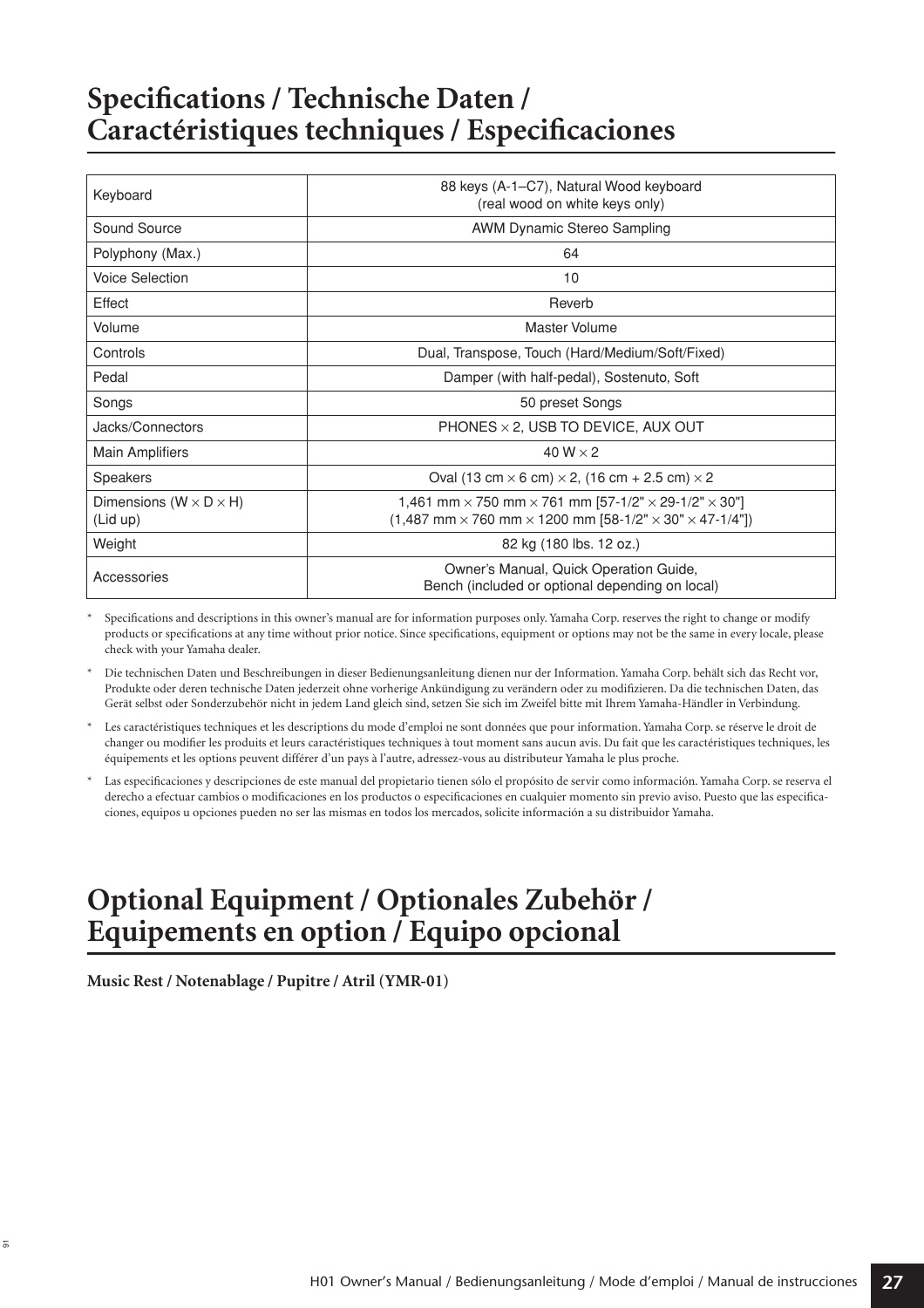## <span id="page-26-0"></span>**Specifications / Technische Daten / Caractéristiques techniques / Especificaciones**

| Keyboard                                         | 88 keys (A-1–C7), Natural Wood keyboard<br>(real wood on white keys only)                                                                                                 |
|--------------------------------------------------|---------------------------------------------------------------------------------------------------------------------------------------------------------------------------|
| Sound Source                                     | <b>AWM Dynamic Stereo Sampling</b>                                                                                                                                        |
| Polyphony (Max.)                                 | 64                                                                                                                                                                        |
| <b>Voice Selection</b>                           | 10                                                                                                                                                                        |
| Effect                                           | Reverb                                                                                                                                                                    |
| Volume                                           | Master Volume                                                                                                                                                             |
| Controls                                         | Dual, Transpose, Touch (Hard/Medium/Soft/Fixed)                                                                                                                           |
| Pedal                                            | Damper (with half-pedal), Sostenuto, Soft                                                                                                                                 |
| Songs                                            | 50 preset Songs                                                                                                                                                           |
| Jacks/Connectors                                 | PHONES $\times$ 2, USB TO DEVICE, AUX OUT                                                                                                                                 |
| Main Amplifiers                                  | 40 W $\times$ 2                                                                                                                                                           |
| <b>Speakers</b>                                  | Oval (13 cm $\times$ 6 cm) $\times$ 2, (16 cm + 2.5 cm) $\times$ 2                                                                                                        |
| Dimensions ( $W \times D \times H$ )<br>(Lid up) | 1,461 mm $\times$ 750 mm $\times$ 761 mm [57-1/2" $\times$ 29-1/2" $\times$ 30"]<br>$(1,487$ mm $\times$ 760 mm $\times$ 1200 mm [58-1/2" $\times$ 30" $\times$ 47-1/4"]) |
| Weight                                           | 82 kg (180 lbs. 12 oz.)                                                                                                                                                   |
| Accessories                                      | Owner's Manual, Quick Operation Guide,<br>Bench (included or optional depending on local)                                                                                 |

Specifications and descriptions in this owner's manual are for information purposes only. Yamaha Corp. reserves the right to change or modify products or specifications at any time without prior notice. Since specifications, equipment or options may not be the same in every locale, please check with your Yamaha dealer.

\* Die technischen Daten und Beschreibungen in dieser Bedienungsanleitung dienen nur der Information. Yamaha Corp. behält sich das Recht vor, Produkte oder deren technische Daten jederzeit ohne vorherige Ankündigung zu verändern oder zu modifizieren. Da die technischen Daten, das Gerät selbst oder Sonderzubehör nicht in jedem Land gleich sind, setzen Sie sich im Zweifel bitte mit Ihrem Yamaha-Händler in Verbindung.

- Les caractéristiques techniques et les descriptions du mode d'emploi ne sont données que pour information. Yamaha Corp. se réserve le droit de changer ou modifier les produits et leurs caractéristiques techniques à tout moment sans aucun avis. Du fait que les caractéristiques techniques, les équipements et les options peuvent différer d'un pays à l'autre, adressez-vous au distributeur Yamaha le plus proche.
- \* Las especificaciones y descripciones de este manual del propietario tienen sólo el propósito de servir como información. Yamaha Corp. se reserva el derecho a efectuar cambios o modificaciones en los productos o especificaciones en cualquier momento sin previo aviso. Puesto que las especificaciones, equipos u opciones pueden no ser las mismas en todos los mercados, solicite información a su distribuidor Yamaha.

## <span id="page-26-1"></span>**Optional Equipment / Optionales Zubehör / Equipements en option / Equipo opcional**

**Music Rest / Notenablage / Pupitre / Atril (YMR-01)**

91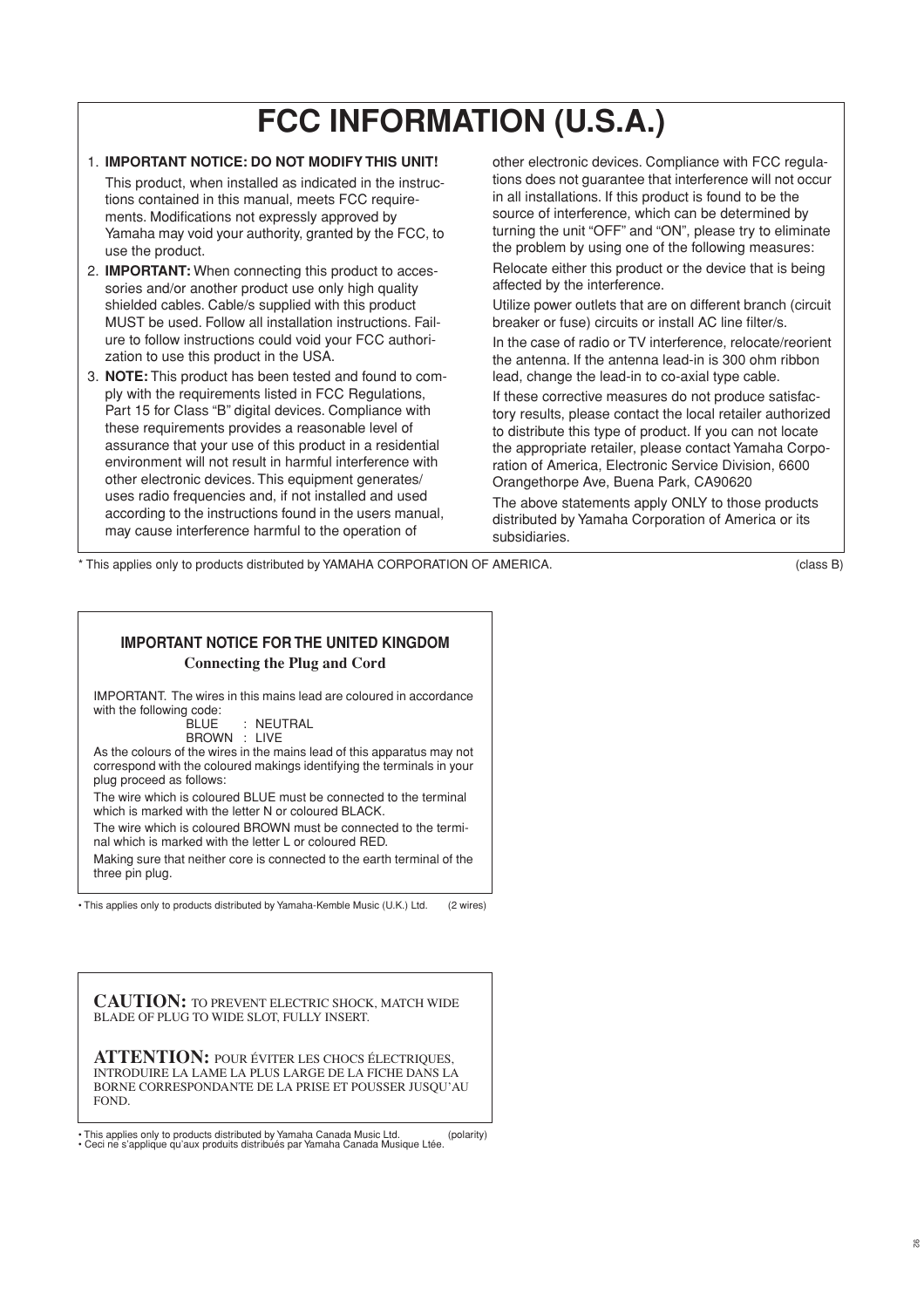## **FCC INFORMATION (U.S.A.)**

- 1. **IMPORTANT NOTICE: DO NOT MODIFY THIS UNIT!** This product, when installed as indicated in the instructions contained in this manual, meets FCC requirements. Modifications not expressly approved by Yamaha may void your authority, granted by the FCC, to use the product.
- 2. **IMPORTANT:** When connecting this product to accessories and/or another product use only high quality shielded cables. Cable/s supplied with this product MUST be used. Follow all installation instructions. Failure to follow instructions could void your FCC authorization to use this product in the USA.
- 3. **NOTE:** This product has been tested and found to comply with the requirements listed in FCC Regulations, Part 15 for Class "B" digital devices. Compliance with these requirements provides a reasonable level of assurance that your use of this product in a residential environment will not result in harmful interference with other electronic devices. This equipment generates/ uses radio frequencies and, if not installed and used according to the instructions found in the users manual, may cause interference harmful to the operation of

other electronic devices. Compliance with FCC regulations does not quarantee that interference will not occur in all installations. If this product is found to be the source of interference, which can be determined by turning the unit "OFF" and "ON", please try to eliminate the problem by using one of the following measures: Relocate either this product or the device that is being affected by the interference.

Utilize power outlets that are on different branch (circuit breaker or fuse) circuits or install AC line filter/s.

In the case of radio or TV interference, relocate/reorient the antenna. If the antenna lead-in is 300 ohm ribbon lead, change the lead-in to co-axial type cable.

If these corrective measures do not produce satisfactory results, please contact the local retailer authorized to distribute this type of product. If you can not locate the appropriate retailer, please contact Yamaha Corporation of America, Electronic Service Division, 6600 Orangethorpe Ave, Buena Park, CA90620

The above statements apply ONLY to those products distributed by Yamaha Corporation of America or its subsidiaries.

\* This applies only to products distributed by YAMAHA CORPORATION OF AMERICA. (Class B)

## **IMPORTANT NOTICE FOR THE UNITED KINGDOM Connecting the Plug and Cord**

IMPORTANT. The wires in this mains lead are coloured in accordance with the following code:<br>BLUF

: NEUTRAL BROWN : LIVE

As the colours of the wires in the mains lead of this apparatus may not correspond with the coloured makings identifying the terminals in your plug proceed as follows:

The wire which is coloured BLUE must be connected to the terminal which is marked with the letter N or coloured BLACK.

The wire which is coloured BROWN must be connected to the terminal which is marked with the letter L or coloured RED.

Making sure that neither core is connected to the earth terminal of the three pin plug.

• This applies only to products distributed by Yamaha-Kemble Music (U.K.) Ltd. (2 wires)

**CAUTION:** TO PREVENT ELECTRIC SHOCK, MATCH WIDE BLADE OF PLUG TO WIDE SLOT, FULLY INSERT.

**ATTENTION:** POUR ÉVITER LES CHOCS ÉLECTRIQUES, INTRODUIRE LA LAME LA PLUS LARGE DE LA FICHE DANS LA BORNE CORRESPONDANTE DE LA PRISE ET POUSSER JUSQU'AU FOND.

• This applies only to products distributed by Yamaha Canada Music Ltd. (polarity) • Ceci ne s'applique qu'aux produits distribués par Yamaha Canada Musique Ltée.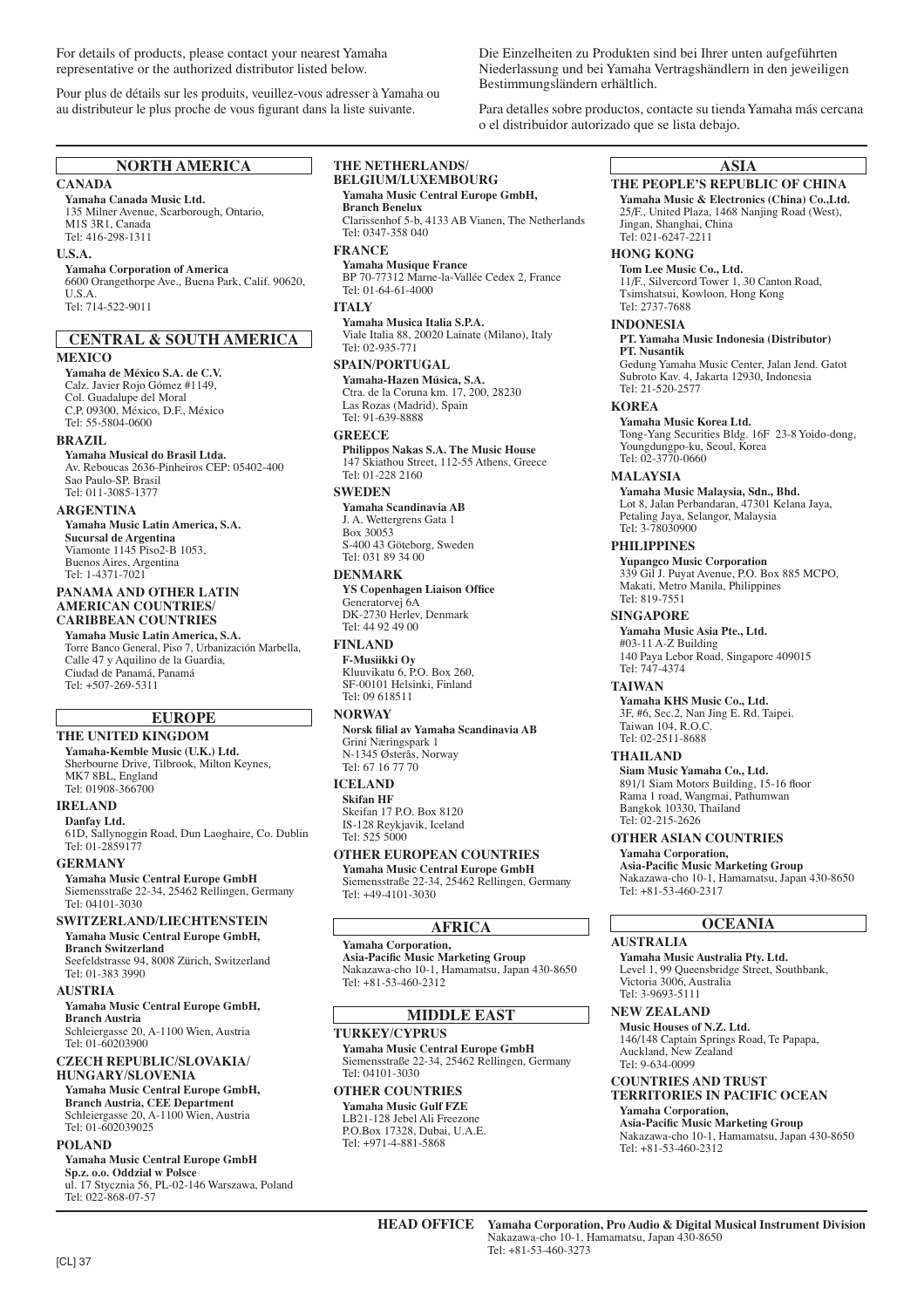For details of products, please contact your nearest Yamaha representative or the authorized distributor listed below.

Pour plus de détails sur les produits, veuillez-vous adresser à Yamaha ou au distributeur le plus proche de vous figurant dans la liste suivante.

Die Einzelheiten zu Produkten sind bei Ihrer unten aufgeführten Niederlassung und bei Yamaha Vertragshändlern in den jeweiligen Bestimmungsländern erhältlich.

Para detalles sobre productos, contacte su tienda Yamaha más cercana o el distribuidor autorizado que se lista debajo.

### **NORTH AMERICA**

#### **CANADA**

**Yamaha Canada Music Ltd.** 135 Milner Avenue, Scarborough, Ontario, M1S 3R1, Canada Tel: 416-298-1311

#### **U.S.A.**

**Yamaha Corporation of America**  6600 Orangethorpe Ave., Buena Park, Calif. 90620, U.S.A. Tel: 714-522-9011

### **MEXICO CENTRAL & SOUTH AMERICA**

**Yamaha de México S.A. de C.V.** Calz. Javier Rojo Gómez #1149, Col. Guadalupe del Moral C.P. 09300, México, D.F., México Tel: 55-5804-0600

#### **BRAZIL**

**Yamaha Musical do Brasil Ltda.** Av. Reboucas 2636-Pinheiros CEP: 05402-400 Sao Paulo-SP. Brasil Tel: 011-3085-1377

#### **ARGENTINA**

**Yamaha Music Latin America, S.A. Sucursal de Argentina** Viamonte 1145 Piso2-B 1053, Buenos Aires, Argentina Tel: 1-4371-7021

#### **PANAMA AND OTHER LATIN AMERICAN COUNTRIES/ CARIBBEAN COUNTRIES**

**Yamaha Music Latin America, S.A.** Torre Banco General, Piso 7, Urbanización Marbella, Calle 47 y Aquilino de la Guardia, Ciudad de Panamá, Panamá Tel: +507-269-5311

#### **EUROPE**

**THE UNITED KINGDOM**

**Yamaha-Kemble Music (U.K.) Ltd.** Sherbourne Drive, Tilbrook, Milton Keynes, MK7 8BL, England Tel: 01908-366700

#### **IRELAND**

**Danfay Ltd.** 61D, Sallynoggin Road, Dun Laoghaire, Co. Dublin Tel: 01-2859177

#### **GERMANY**

**Yamaha Music Central Europe GmbH** Siemensstraße 22-34, 25462 Rellingen, Germany Tel: 04101-3030

### **SWITZERLAND/LIECHTENSTEIN**

**Yamaha Music Central Europe GmbH, Branch Switzerland** Seefeldstrasse 94, 8008 Zürich, Switzerland Tel: 01-383 3990

#### **AUSTRIA**

**Yamaha Music Central Europe GmbH, Branch Austria** Schleiergasse 20, A-1100 Wien, Austria Tel: 01-60203900

## **CZECH REPUBLIC/SLOVAKIA/**

**HUNGARY/SLOVENIA Yamaha Music Central Europe GmbH, Branch Austria, CEE Department** Schleiergasse 20, A-1100 Wien, Austria Tel: 01-602039025

#### **POLAND**

**Yamaha Music Central Europe GmbH Sp.z. o.o. Oddzial w Polsce** ul. 17 Stycznia 56, PL-02-146 Warszawa, Poland Tel: 022-868-07-57

#### **THE NETHERLANDS/ BELGIUM/LUXEMBOURG**

**Yamaha Music Central Europe GmbH, Branch Benelux** 

Clarissenhof 5-b, 4133 AB Vianen, The Netherlands Tel: 0347-358 040

#### **FRANCE**

**Yamaha Musique France**  BP 70-77312 Marne-la-Vallée Cedex 2, France Tel: 01-64-61-4000

#### **ITALY**

**Yamaha Musica Italia S.P.A.**  Viale Italia 88, 20020 Lainate (Milano), Italy Tel: 02-935-771

#### **SPAIN/PORTUGAL**

**Yamaha-Hazen Música, S.A.** Ctra. de la Coruna km. 17, 200, 28230 Las Rozas (Madrid), Spain Tel: 91-639-8888

#### **GREECE**

**Philippos Nakas S.A. The Music House** 147 Skiathou Street, 112-55 Athens, Greece Tel: 01-228 2160

#### **SWEDEN**

**Yamaha Scandinavia AB** J. A. Wettergrens Gata 1 Box 30053 S-400 43 Göteborg, Sweden Tel: 031 89 34 00

#### **DENMARK**

**YS Copenhagen Liaison Office** Generatorvej 6A DK-2730 Herlev, Denmark Tel: 44 92 49 00

### **FINLAND**

**F-Musiikki Oy** Kluuvikatu 6, P.O. Box 260, SF-00101 Helsinki, Finland Tel: 09 618511

#### **NORWAY**

**Norsk filial av Yamaha Scandinavia AB**  Grini Næringspark 1 N-1345 Østerås, Norway Tel: 67 16 77 70

### **ICELAND**

**Skifan HF** Skeifan 17 P.O. Box 8120 IS-128 Reykjavik, Iceland Tel: 525 5000

#### **OTHER EUROPEAN COUNTRIES**

**Yamaha Music Central Europe GmbH** Siemensstraße 22-34, 25462 Rellingen, Germany Tel: +49-4101-3030

### **AFRICA**

### **Yamaha Corporation,**

**Asia-Pacific Music Marketing Group** Nakazawa-cho 10-1, Hamamatsu, Japan 430-8650 Tel: +81-53-460-2312

### **MIDDLE EAST**

## **TURKEY/CYPRUS**

**Yamaha Music Central Europe GmbH** Siemensstraße 22-34, 25462 Rellingen, Germany Tel: 04101-3030

#### **OTHER COUNTRIES**

**Yamaha Music Gulf FZE** LB21-128 Jebel Ali Freezone P.O.Box 17328, Dubai, U.A.E. Tel: +971-4-881-5868

## **COUNTRIES AND TRUST**

#### **TERRITORIES IN PACIFIC OCEAN Yamaha Corporation,**

**Asia-Pacific Music Marketing Group** Nakazawa-cho 10-1, Hamamatsu, Japan 430-8650 Tel: +81-53-460-2312

#### **THE PEOPLE'S REPUBLIC OF CHINA ASIA**

**Yamaha Music & Electronics (China) Co.,Ltd.** 25/F., United Plaza, 1468 Nanjing Road (West), Jingan, Shanghai, China Tel: 021-6247-2211

#### **HONG KONG**

**Tom Lee Music Co., Ltd.** 11/F., Silvercord Tower 1, 30 Canton Road, Tsimshatsui, Kowloon, Hong Kong

#### Tel: 2737-7688

#### **INDONESIA**

**PT. Yamaha Music Indonesia (Distributor) PT. Nusantik**

Gedung Yamaha Music Center, Jalan Jend. Gatot Subroto Kav. 4, Jakarta 12930, Indonesia Tel: 21-520-2577

#### **KOREA**

**Yamaha Music Korea Ltd.** Tong-Yang Securities Bldg. 16F 23-8 Yoido-dong, Youngdungpo-ku, Seoul, Korea Tel: 02-3770-0660

#### **MALAYSIA**

**Yamaha Music Malaysia, Sdn., Bhd.** Lot 8, Jalan Perbandaran, 47301 Kelana Jaya, Petaling Jaya, Selangor, Malaysia Tel: 3-78030900

#### **PHILIPPINES**

**Yupangco Music Corporation** 339 Gil J. Puyat Avenue, P.O. Box 885 MCPO, Makati, Metro Manila, Philippines Tel: 819-7551

#### **SINGAPORE**

**Yamaha Music Asia Pte., Ltd.** #03-11 A-Z Building 140 Paya Lebor Road, Singapore 409015 Tel: 747-4374

#### **TAIWAN**

**Yamaha KHS Music Co., Ltd.**  3F, #6, Sec.2, Nan Jing E. Rd. Taipei.

#### Taiwan 104, R.O.C.

Tel: 02-2511-8688

### **THAILAND**

**Siam Music Yamaha Co., Ltd.** 891/1 Siam Motors Building, 15-16 floor Rama 1 road, Wangmai, Pathumwan Bangkok 10330, Thailand Tel: 02-215-2626

#### **OTHER ASIAN COUNTRIES**

**Yamaha Corporation, Asia-Pacific Music Marketing Group** Nakazawa-cho 10-1, Hamamatsu, Japan 430-8650 Tel: +81-53-460-2317

### **OCEANIA**

#### **AUSTRALIA**

**Yamaha Music Australia Pty. Ltd.** Level 1, 99 Queensbridge Street, Southbank, Victoria 3006, Australia Tel: 3-9693-5111

#### **NEW ZEALAND**

**Music Houses of N.Z. Ltd.** 146/148 Captain Springs Road, Te Papapa, Auckland, New Zealand Tel: 9-634-0099